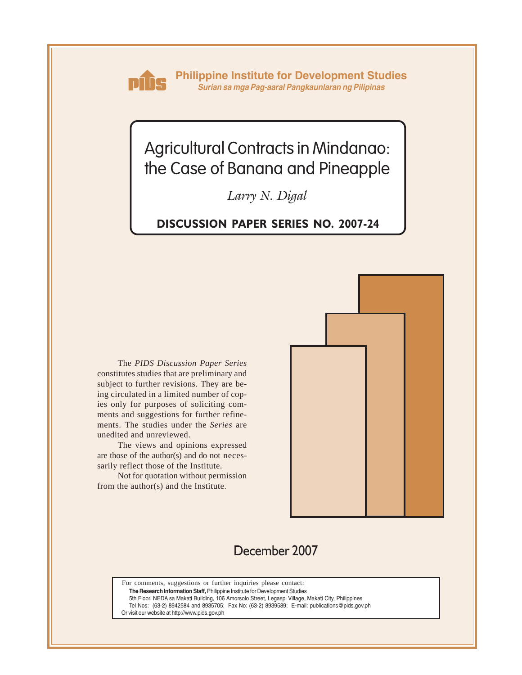

**Philippine Institute for Development Studies** *Surian sa mga Pag-aaral Pangkaunlaran ng Pilipinas*

# Agricultural Contracts in Mindanao: the Case of Banana and Pineapple

*Larry N. Digal*

### **DISCUSSION PAPER SERIES NO. 2007-24**

The *PIDS Discussion Paper Series* constitutes studies that are preliminary and subject to further revisions. They are being circulated in a limited number of copies only for purposes of soliciting comments and suggestions for further refinements. The studies under the *Series* are unedited and unreviewed.

The views and opinions expressed are those of the author(s) and do not necessarily reflect those of the Institute.

Not for quotation without permission from the author(s) and the Institute.



# December 2007

For comments, suggestions or further inquiries please contact:

**The Research Information Staff,** Philippine Institute for Development Studies

5th Floor, NEDA sa Makati Building, 106 Amorsolo Street, Legaspi Village, Makati City, Philippines

Tel Nos: (63-2) 8942584 and 8935705; Fax No: (63-2) 8939589; E-mail: publications@pids.gov.ph

Or visit our website at http://www.pids.gov.ph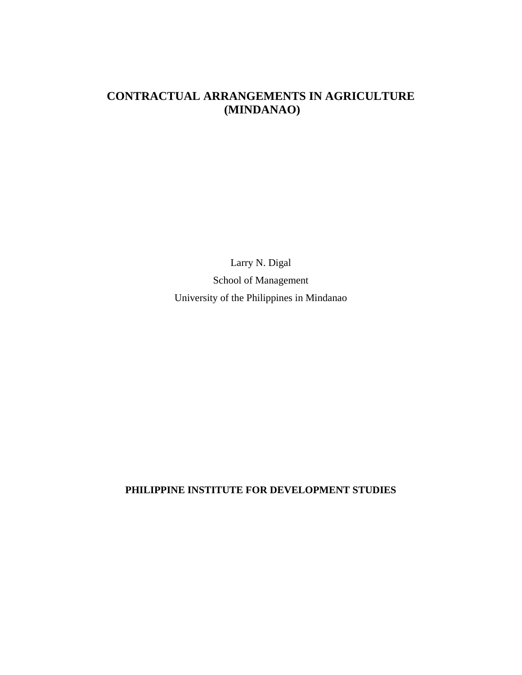## **CONTRACTUAL ARRANGEMENTS IN AGRICULTURE (MINDANAO)**

Larry N. Digal School of Management University of the Philippines in Mindanao

**PHILIPPINE INSTITUTE FOR DEVELOPMENT STUDIES**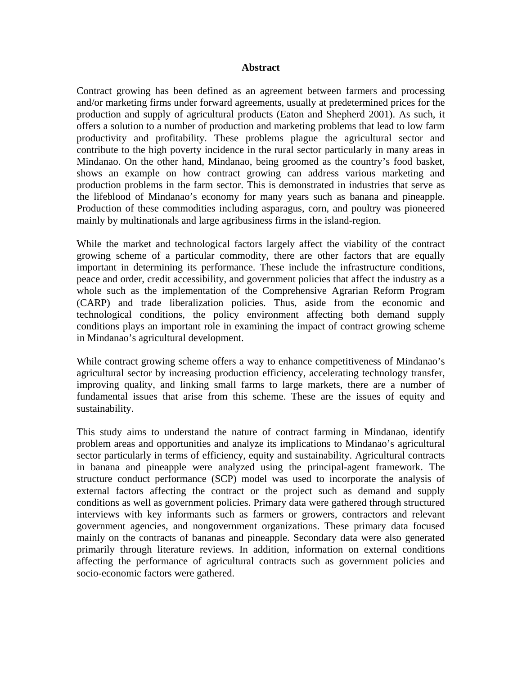#### **Abstract**

Contract growing has been defined as an agreement between farmers and processing and/or marketing firms under forward agreements, usually at predetermined prices for the production and supply of agricultural products (Eaton and Shepherd 2001). As such, it offers a solution to a number of production and marketing problems that lead to low farm productivity and profitability. These problems plague the agricultural sector and contribute to the high poverty incidence in the rural sector particularly in many areas in Mindanao. On the other hand, Mindanao, being groomed as the country's food basket, shows an example on how contract growing can address various marketing and production problems in the farm sector. This is demonstrated in industries that serve as the lifeblood of Mindanao's economy for many years such as banana and pineapple. Production of these commodities including asparagus, corn, and poultry was pioneered mainly by multinationals and large agribusiness firms in the island-region.

While the market and technological factors largely affect the viability of the contract growing scheme of a particular commodity, there are other factors that are equally important in determining its performance. These include the infrastructure conditions, peace and order, credit accessibility, and government policies that affect the industry as a whole such as the implementation of the Comprehensive Agrarian Reform Program (CARP) and trade liberalization policies. Thus, aside from the economic and technological conditions, the policy environment affecting both demand supply conditions plays an important role in examining the impact of contract growing scheme in Mindanao's agricultural development.

While contract growing scheme offers a way to enhance competitiveness of Mindanao's agricultural sector by increasing production efficiency, accelerating technology transfer, improving quality, and linking small farms to large markets, there are a number of fundamental issues that arise from this scheme. These are the issues of equity and sustainability.

This study aims to understand the nature of contract farming in Mindanao, identify problem areas and opportunities and analyze its implications to Mindanao's agricultural sector particularly in terms of efficiency, equity and sustainability. Agricultural contracts in banana and pineapple were analyzed using the principal-agent framework. The structure conduct performance (SCP) model was used to incorporate the analysis of external factors affecting the contract or the project such as demand and supply conditions as well as government policies. Primary data were gathered through structured interviews with key informants such as farmers or growers, contractors and relevant government agencies, and nongovernment organizations. These primary data focused mainly on the contracts of bananas and pineapple. Secondary data were also generated primarily through literature reviews. In addition, information on external conditions affecting the performance of agricultural contracts such as government policies and socio-economic factors were gathered.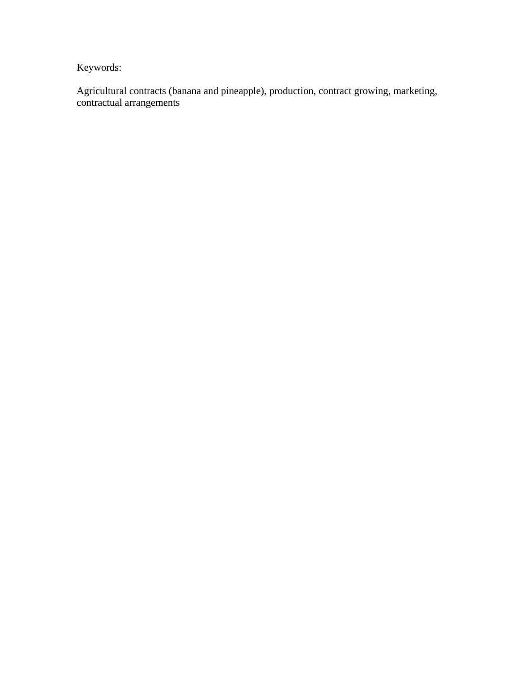Keywords:

Agricultural contracts (banana and pineapple), production, contract growing, marketing, contractual arrangements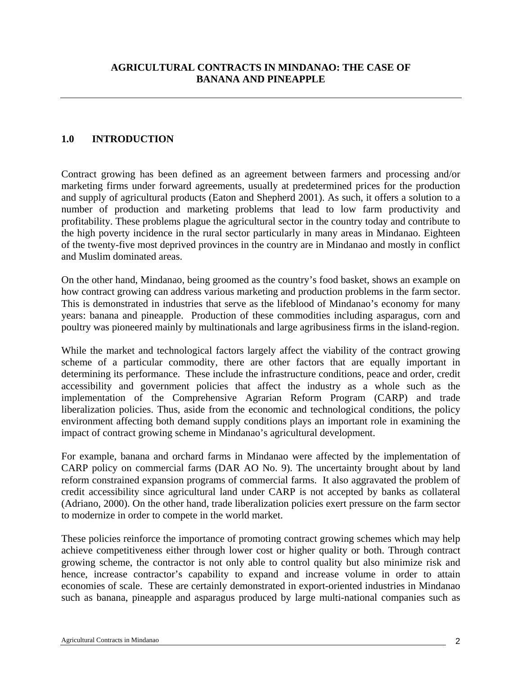### **1.0 INTRODUCTION**

Contract growing has been defined as an agreement between farmers and processing and/or marketing firms under forward agreements, usually at predetermined prices for the production and supply of agricultural products (Eaton and Shepherd 2001). As such, it offers a solution to a number of production and marketing problems that lead to low farm productivity and profitability. These problems plague the agricultural sector in the country today and contribute to the high poverty incidence in the rural sector particularly in many areas in Mindanao. Eighteen of the twenty-five most deprived provinces in the country are in Mindanao and mostly in conflict and Muslim dominated areas.

On the other hand, Mindanao, being groomed as the country's food basket, shows an example on how contract growing can address various marketing and production problems in the farm sector. This is demonstrated in industries that serve as the lifeblood of Mindanao's economy for many years: banana and pineapple. Production of these commodities including asparagus, corn and poultry was pioneered mainly by multinationals and large agribusiness firms in the island-region.

While the market and technological factors largely affect the viability of the contract growing scheme of a particular commodity, there are other factors that are equally important in determining its performance. These include the infrastructure conditions, peace and order, credit accessibility and government policies that affect the industry as a whole such as the implementation of the Comprehensive Agrarian Reform Program (CARP) and trade liberalization policies. Thus, aside from the economic and technological conditions, the policy environment affecting both demand supply conditions plays an important role in examining the impact of contract growing scheme in Mindanao's agricultural development.

For example, banana and orchard farms in Mindanao were affected by the implementation of CARP policy on commercial farms (DAR AO No. 9). The uncertainty brought about by land reform constrained expansion programs of commercial farms. It also aggravated the problem of credit accessibility since agricultural land under CARP is not accepted by banks as collateral (Adriano, 2000). On the other hand, trade liberalization policies exert pressure on the farm sector to modernize in order to compete in the world market.

These policies reinforce the importance of promoting contract growing schemes which may help achieve competitiveness either through lower cost or higher quality or both. Through contract growing scheme, the contractor is not only able to control quality but also minimize risk and hence, increase contractor's capability to expand and increase volume in order to attain economies of scale. These are certainly demonstrated in export-oriented industries in Mindanao such as banana, pineapple and asparagus produced by large multi-national companies such as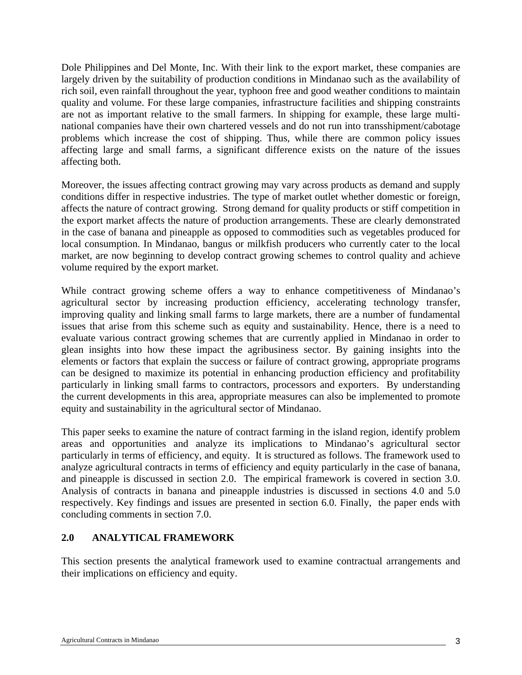Dole Philippines and Del Monte, Inc. With their link to the export market, these companies are largely driven by the suitability of production conditions in Mindanao such as the availability of rich soil, even rainfall throughout the year, typhoon free and good weather conditions to maintain quality and volume. For these large companies, infrastructure facilities and shipping constraints are not as important relative to the small farmers. In shipping for example, these large multinational companies have their own chartered vessels and do not run into transshipment/cabotage problems which increase the cost of shipping. Thus, while there are common policy issues affecting large and small farms, a significant difference exists on the nature of the issues affecting both.

Moreover, the issues affecting contract growing may vary across products as demand and supply conditions differ in respective industries. The type of market outlet whether domestic or foreign, affects the nature of contract growing. Strong demand for quality products or stiff competition in the export market affects the nature of production arrangements. These are clearly demonstrated in the case of banana and pineapple as opposed to commodities such as vegetables produced for local consumption. In Mindanao, bangus or milkfish producers who currently cater to the local market, are now beginning to develop contract growing schemes to control quality and achieve volume required by the export market.

While contract growing scheme offers a way to enhance competitiveness of Mindanao's agricultural sector by increasing production efficiency, accelerating technology transfer, improving quality and linking small farms to large markets, there are a number of fundamental issues that arise from this scheme such as equity and sustainability. Hence, there is a need to evaluate various contract growing schemes that are currently applied in Mindanao in order to glean insights into how these impact the agribusiness sector. By gaining insights into the elements or factors that explain the success or failure of contract growing, appropriate programs can be designed to maximize its potential in enhancing production efficiency and profitability particularly in linking small farms to contractors, processors and exporters. By understanding the current developments in this area, appropriate measures can also be implemented to promote equity and sustainability in the agricultural sector of Mindanao.

This paper seeks to examine the nature of contract farming in the island region, identify problem areas and opportunities and analyze its implications to Mindanao's agricultural sector particularly in terms of efficiency, and equity. It is structured as follows. The framework used to analyze agricultural contracts in terms of efficiency and equity particularly in the case of banana, and pineapple is discussed in section 2.0. The empirical framework is covered in section 3.0. Analysis of contracts in banana and pineapple industries is discussed in sections 4.0 and 5.0 respectively. Key findings and issues are presented in section 6.0. Finally, the paper ends with concluding comments in section 7.0.

### **2.0 ANALYTICAL FRAMEWORK**

This section presents the analytical framework used to examine contractual arrangements and their implications on efficiency and equity.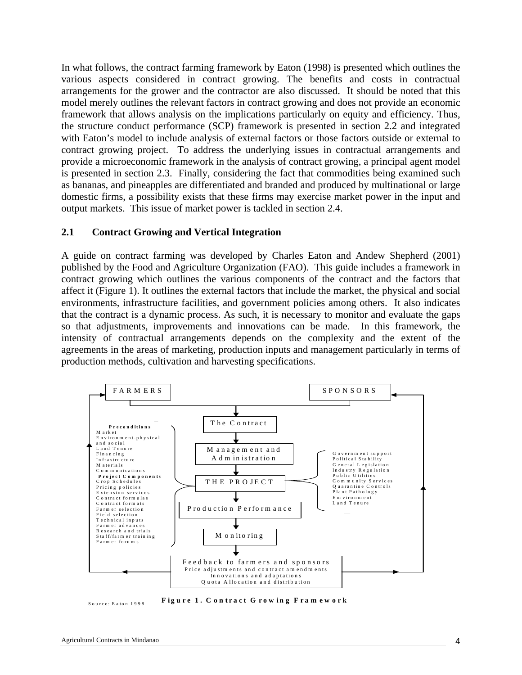In what follows, the contract farming framework by Eaton (1998) is presented which outlines the various aspects considered in contract growing. The benefits and costs in contractual arrangements for the grower and the contractor are also discussed. It should be noted that this model merely outlines the relevant factors in contract growing and does not provide an economic framework that allows analysis on the implications particularly on equity and efficiency. Thus, the structure conduct performance (SCP) framework is presented in section 2.2 and integrated with Eaton's model to include analysis of external factors or those factors outside or external to contract growing project. To address the underlying issues in contractual arrangements and provide a microeconomic framework in the analysis of contract growing, a principal agent model is presented in section 2.3. Finally, considering the fact that commodities being examined such as bananas, and pineapples are differentiated and branded and produced by multinational or large domestic firms, a possibility exists that these firms may exercise market power in the input and output markets. This issue of market power is tackled in section 2.4.

#### **2.1 Contract Growing and Vertical Integration**

A guide on contract farming was developed by Charles Eaton and Andew Shepherd (2001) published by the Food and Agriculture Organization (FAO). This guide includes a framework in contract growing which outlines the various components of the contract and the factors that affect it (Figure 1). It outlines the external factors that include the market, the physical and social environments, infrastructure facilities, and government policies among others. It also indicates that the contract is a dynamic process. As such, it is necessary to monitor and evaluate the gaps so that adjustments, improvements and innovations can be made. In this framework, the intensity of contractual arrangements depends on the complexity and the extent of the agreements in the areas of marketing, production inputs and management particularly in terms of production methods, cultivation and harvesting specifications.



Source: Eaton 1998 **Figure 1. Contract Growing Framework**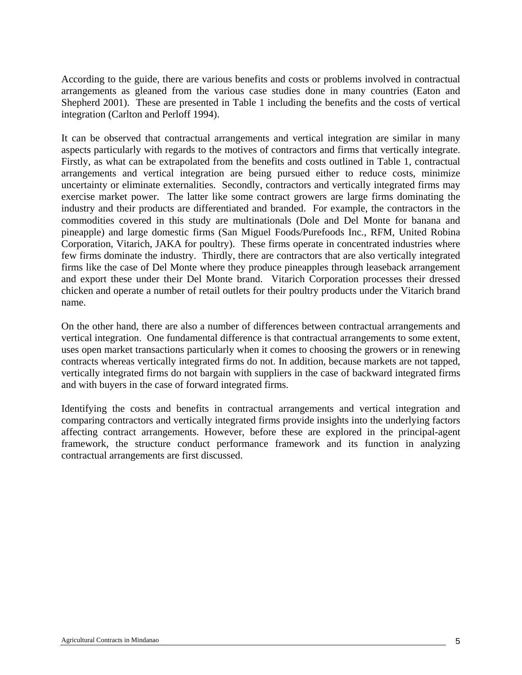According to the guide, there are various benefits and costs or problems involved in contractual arrangements as gleaned from the various case studies done in many countries (Eaton and Shepherd 2001). These are presented in Table 1 including the benefits and the costs of vertical integration (Carlton and Perloff 1994).

It can be observed that contractual arrangements and vertical integration are similar in many aspects particularly with regards to the motives of contractors and firms that vertically integrate. Firstly, as what can be extrapolated from the benefits and costs outlined in Table 1, contractual arrangements and vertical integration are being pursued either to reduce costs, minimize uncertainty or eliminate externalities. Secondly, contractors and vertically integrated firms may exercise market power. The latter like some contract growers are large firms dominating the industry and their products are differentiated and branded. For example, the contractors in the commodities covered in this study are multinationals (Dole and Del Monte for banana and pineapple) and large domestic firms (San Miguel Foods/Purefoods Inc., RFM, United Robina Corporation, Vitarich, JAKA for poultry). These firms operate in concentrated industries where few firms dominate the industry. Thirdly, there are contractors that are also vertically integrated firms like the case of Del Monte where they produce pineapples through leaseback arrangement and export these under their Del Monte brand. Vitarich Corporation processes their dressed chicken and operate a number of retail outlets for their poultry products under the Vitarich brand name.

On the other hand, there are also a number of differences between contractual arrangements and vertical integration. One fundamental difference is that contractual arrangements to some extent, uses open market transactions particularly when it comes to choosing the growers or in renewing contracts whereas vertically integrated firms do not. In addition, because markets are not tapped, vertically integrated firms do not bargain with suppliers in the case of backward integrated firms and with buyers in the case of forward integrated firms.

Identifying the costs and benefits in contractual arrangements and vertical integration and comparing contractors and vertically integrated firms provide insights into the underlying factors affecting contract arrangements. However, before these are explored in the principal-agent framework, the structure conduct performance framework and its function in analyzing contractual arrangements are first discussed.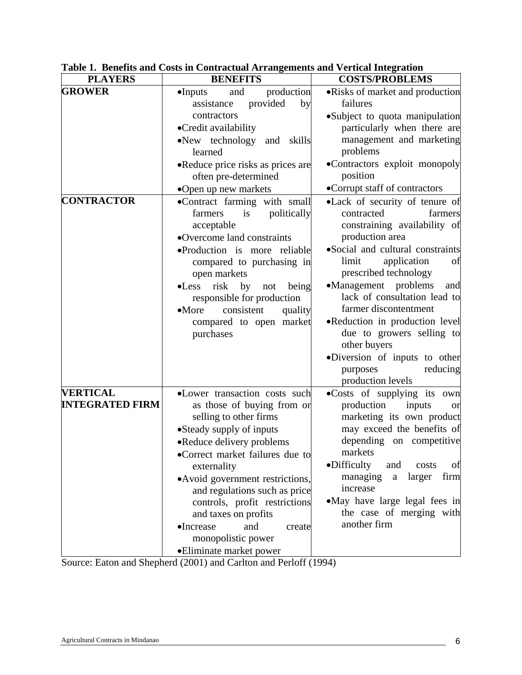| <b>PLAYERS</b>                            | <b>BENEFITS</b>                                                                                                                                                                                                                                                                                                                                                                                               | <b>COSTS/PROBLEMS</b>                                                                                                                                                                                                                                                                                                                                                                                                                                      |  |  |
|-------------------------------------------|---------------------------------------------------------------------------------------------------------------------------------------------------------------------------------------------------------------------------------------------------------------------------------------------------------------------------------------------------------------------------------------------------------------|------------------------------------------------------------------------------------------------------------------------------------------------------------------------------------------------------------------------------------------------------------------------------------------------------------------------------------------------------------------------------------------------------------------------------------------------------------|--|--|
| <b>GROWER</b>                             | production<br>$\bullet$ Inputs<br>and<br>provided<br>assistance<br>by                                                                                                                                                                                                                                                                                                                                         | • Risks of market and production<br>failures                                                                                                                                                                                                                                                                                                                                                                                                               |  |  |
|                                           | contractors<br>•Credit availability<br>•New technology<br>and<br>skills                                                                                                                                                                                                                                                                                                                                       | •Subject to quota manipulation<br>particularly when there are<br>management and marketing                                                                                                                                                                                                                                                                                                                                                                  |  |  |
|                                           | learned<br>•Reduce price risks as prices are<br>often pre-determined<br>•Open up new markets                                                                                                                                                                                                                                                                                                                  | problems<br>•Contractors exploit monopoly<br>position<br>•Corrupt staff of contractors                                                                                                                                                                                                                                                                                                                                                                     |  |  |
| <b>CONTRACTOR</b>                         | .Contract farming with small<br>is<br>politically<br>farmers<br>acceptable<br>•Overcome land constraints<br>•Production is more reliable<br>compared to purchasing in<br>open markets<br>risk<br>by<br>$\bullet$ Less<br>being<br>not<br>responsible for production<br>consistent<br>$\bullet$ More<br>quality<br>compared to open market<br>purchases                                                        | •Lack of security of tenure of<br>contracted<br>farmers<br>constraining availability of<br>production area<br>·Social and cultural constraints<br>application<br>limit<br>οt<br>prescribed technology<br>•Management problems<br>and<br>lack of consultation lead to<br>farmer discontentment<br>•Reduction in production level<br>due to growers selling to<br>other buyers<br>•Diversion of inputs to other<br>reducing<br>purposes<br>production levels |  |  |
| <b>VERTICAL</b><br><b>INTEGRATED FIRM</b> | •Lower transaction costs such<br>as those of buying from or<br>selling to other firms<br>•Steady supply of inputs<br>•Reduce delivery problems<br>•Correct market failures due to<br>externality<br>• Avoid government restrictions,<br>and regulations such as price<br>controls, profit restrictions<br>and taxes on profits<br>•Increase<br>and<br>create<br>monopolistic power<br>•Eliminate market power | •Costs of supplying its own<br>production<br>inputs<br><sub>or</sub><br>marketing its own product<br>may exceed the benefits of<br>depending on competitive<br>markets<br>•Difficulty<br>of<br>and<br>costs<br>firm<br>managing<br>larger<br>$\mathbf{a}$<br>increase<br>•May have large legal fees in<br>the case of merging with<br>another firm                                                                                                         |  |  |

**Table 1. Benefits and Costs in Contractual Arrangements and Vertical Integration** 

Source: Eaton and Shepherd (2001) and Carlton and Perloff (1994)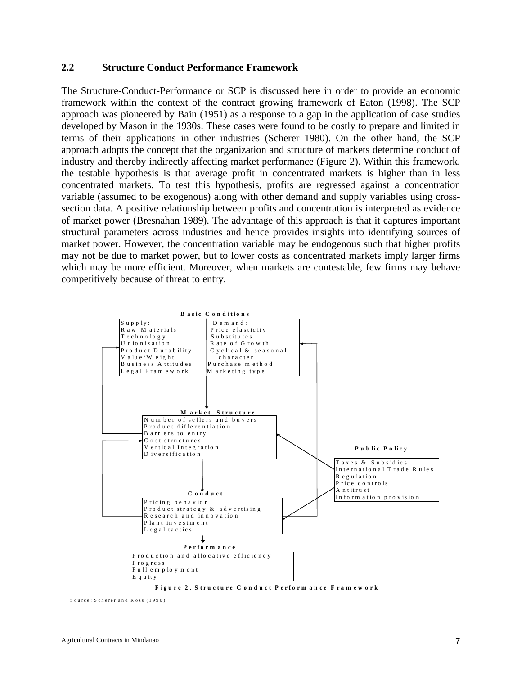#### **2.2 Structure Conduct Performance Framework**

The Structure-Conduct-Performance or SCP is discussed here in order to provide an economic framework within the context of the contract growing framework of Eaton (1998). The SCP approach was pioneered by Bain (1951) as a response to a gap in the application of case studies developed by Mason in the 1930s. These cases were found to be costly to prepare and limited in terms of their applications in other industries (Scherer 1980). On the other hand, the SCP approach adopts the concept that the organization and structure of markets determine conduct of industry and thereby indirectly affecting market performance (Figure 2). Within this framework, the testable hypothesis is that average profit in concentrated markets is higher than in less concentrated markets. To test this hypothesis, profits are regressed against a concentration variable (assumed to be exogenous) along with other demand and supply variables using crosssection data. A positive relationship between profits and concentration is interpreted as evidence of market power (Bresnahan 1989). The advantage of this approach is that it captures important structural parameters across industries and hence provides insights into identifying sources of market power. However, the concentration variable may be endogenous such that higher profits may not be due to market power, but to lower costs as concentrated markets imply larger firms which may be more efficient. Moreover, when markets are contestable, few firms may behave competitively because of threat to entry.



**F ig u re 2 . S tru ctu re C o n d u ct P erfo rm a n ce F ra m ew o rk** 

 $S$  ource:  $S$  cherer and  $R$  oss  $(1990)$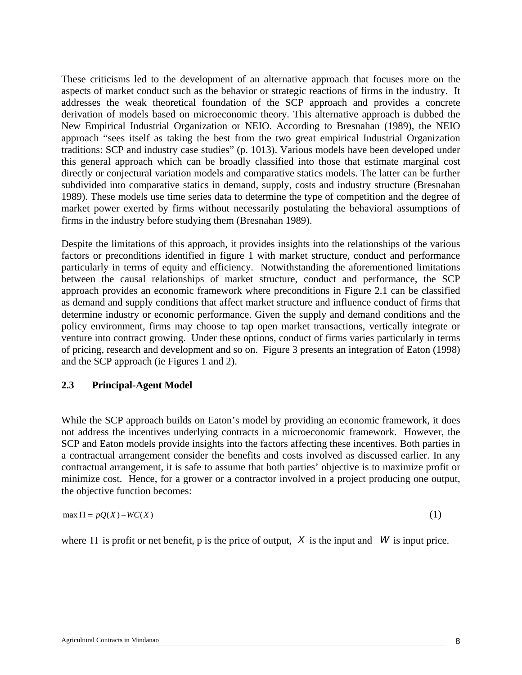These criticisms led to the development of an alternative approach that focuses more on the aspects of market conduct such as the behavior or strategic reactions of firms in the industry. It addresses the weak theoretical foundation of the SCP approach and provides a concrete derivation of models based on microeconomic theory. This alternative approach is dubbed the New Empirical Industrial Organization or NEIO. According to Bresnahan (1989), the NEIO approach "sees itself as taking the best from the two great empirical Industrial Organization traditions: SCP and industry case studies" (p. 1013). Various models have been developed under this general approach which can be broadly classified into those that estimate marginal cost directly or conjectural variation models and comparative statics models. The latter can be further subdivided into comparative statics in demand, supply, costs and industry structure (Bresnahan 1989). These models use time series data to determine the type of competition and the degree of market power exerted by firms without necessarily postulating the behavioral assumptions of firms in the industry before studying them (Bresnahan 1989).

Despite the limitations of this approach, it provides insights into the relationships of the various factors or preconditions identified in figure 1 with market structure, conduct and performance particularly in terms of equity and efficiency. Notwithstanding the aforementioned limitations between the causal relationships of market structure, conduct and performance, the SCP approach provides an economic framework where preconditions in Figure 2.1 can be classified as demand and supply conditions that affect market structure and influence conduct of firms that determine industry or economic performance. Given the supply and demand conditions and the policy environment, firms may choose to tap open market transactions, vertically integrate or venture into contract growing. Under these options, conduct of firms varies particularly in terms of pricing, research and development and so on. Figure 3 presents an integration of Eaton (1998) and the SCP approach (ie Figures 1 and 2).

#### **2.3 Principal-Agent Model**

While the SCP approach builds on Eaton's model by providing an economic framework, it does not address the incentives underlying contracts in a microeconomic framework. However, the SCP and Eaton models provide insights into the factors affecting these incentives. Both parties in a contractual arrangement consider the benefits and costs involved as discussed earlier. In any contractual arrangement, it is safe to assume that both parties' objective is to maximize profit or minimize cost. Hence, for a grower or a contractor involved in a project producing one output, the objective function becomes:

$$
\max \Pi = pQ(X) - WC(X) \tag{1}
$$

where  $\Pi$  is profit or net benefit, p is the price of output,  $X$  is the input and  $W$  is input price.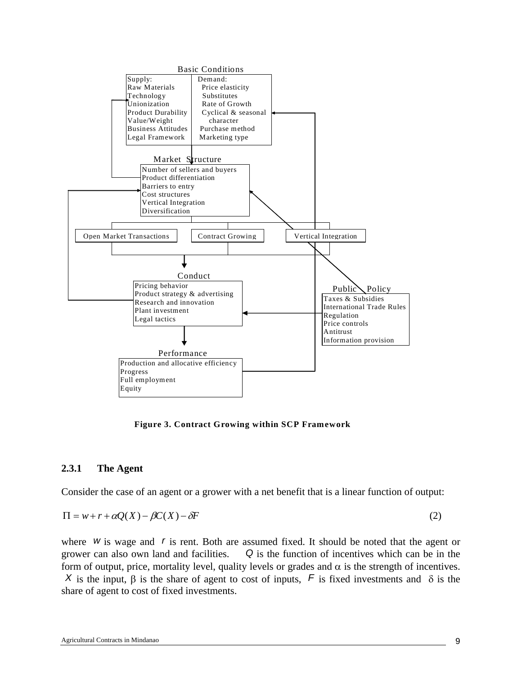

**Figure 3. Contract Growing within SCP Framework** 

#### **2.3.1 The Agent**

Consider the case of an agent or a grower with a net benefit that is a linear function of output:

$$
\Pi = w + r + \alpha Q(X) - \beta C(X) - \delta F \tag{2}
$$

where *w* is wage and *r* is rent. Both are assumed fixed. It should be noted that the agent or grower can also own land and facilities. *Q* is the function of incentives which can be in the form of output, price, mortality level, quality levels or grades and  $\alpha$  is the strength of incentives.

*X* is the input, β is the share of agent to cost of inputs, *F* is fixed investments and δ is the share of agent to cost of fixed investments.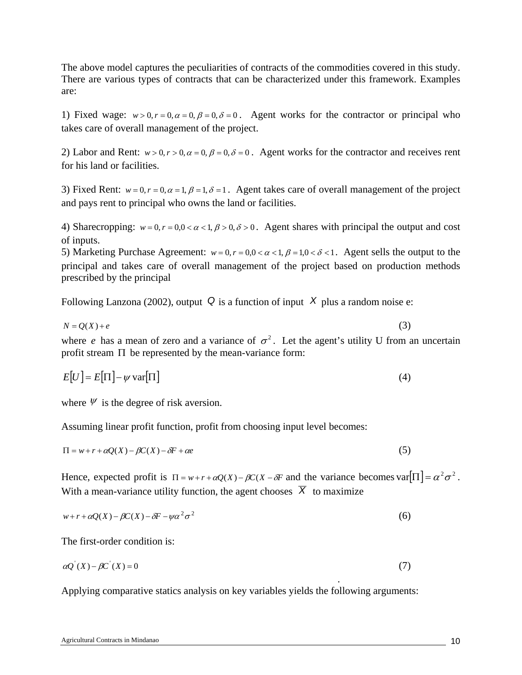The above model captures the peculiarities of contracts of the commodities covered in this study. There are various types of contracts that can be characterized under this framework. Examples are:

1) Fixed wage:  $w > 0, r = 0, \alpha = 0, \beta = 0, \delta = 0$ . Agent works for the contractor or principal who takes care of overall management of the project.

2) Labor and Rent:  $w > 0, r > 0, \alpha = 0, \beta = 0, \delta = 0$ . Agent works for the contractor and receives rent for his land or facilities.

3) Fixed Rent:  $w = 0, r = 0, \alpha = 1, \beta = 1, \delta = 1$ . Agent takes care of overall management of the project and pays rent to principal who owns the land or facilities.

4) Sharecropping:  $w = 0, r = 0, 0 < \alpha < 1, \beta > 0, \delta > 0$ . Agent shares with principal the output and cost of inputs.

5) Marketing Purchase Agreement:  $w = 0, r = 0, 0 < \alpha < 1, \beta = 1, 0 < \delta < 1$ . Agent sells the output to the principal and takes care of overall management of the project based on production methods prescribed by the principal

Following Lanzona (2002), output  $\overline{Q}$  is a function of input  $\overline{X}$  plus a random noise e:

 $N = O(X) + e$  (3) where *e* has a mean of zero and a variance of  $\sigma^2$ . Let the agent's utility U from an uncertain profit stream  $\Pi$  be represented by the mean-variance form:

$$
E[U] = E[\Pi] - \psi \operatorname{var}[\Pi] \tag{4}
$$

where  $\psi$  is the degree of risk aversion.

Assuming linear profit function, profit from choosing input level becomes:

$$
\Pi = w + r + \alpha Q(X) - \beta C(X) - \delta F + \alpha e \tag{5}
$$

Hence, expected profit is  $\Pi = w + r + \alpha Q(X) - \beta C(X - \delta F)$  and the variance becomes var $|\Pi| = \alpha^2 \sigma^2$ . With a mean-variance utility function, the agent chooses  $\overline{X}$  to maximize

$$
w + r + \alpha Q(X) - \beta C(X) - \delta F - \psi \alpha^2 \sigma^2 \tag{6}
$$

The first-order condition is:

$$
\alpha Q'(X) - \beta C'(X) = 0\tag{7}
$$

.

Applying comparative statics analysis on key variables yields the following arguments: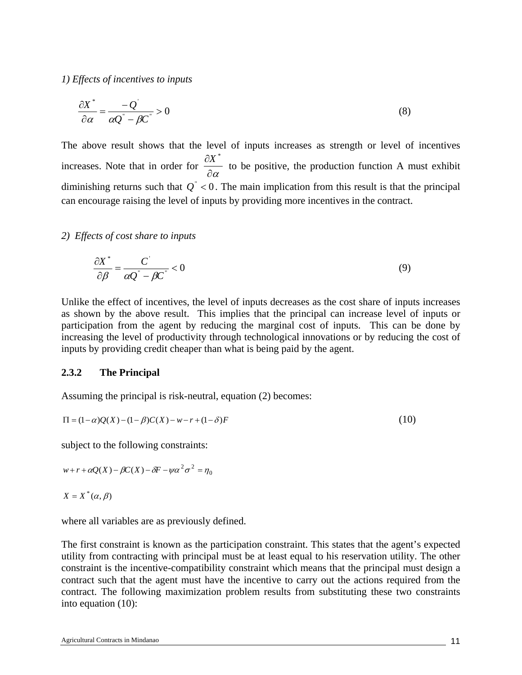*1) Effects of incentives to inputs* 

$$
\frac{\partial X^*}{\partial \alpha} = \frac{-Q^*}{\alpha Q^* - \beta C^*} > 0
$$
\n(8)

The above result shows that the level of inputs increases as strength or level of incentives increases. Note that in order for ∂<sup>α</sup>  $\frac{\partial X^*}{\partial \mathbf{A}}$  to be positive, the production function A must exhibit diminishing returns such that  $Q^{\dagger}$  < 0. The main implication from this result is that the principal can encourage raising the level of inputs by providing more incentives in the contract.

#### *2) Effects of cost share to inputs*

$$
\frac{\partial X^*}{\partial \beta} = \frac{C^{\prime}}{\alpha Q^{\prime} - \beta C^{\prime}} < 0\tag{9}
$$

Unlike the effect of incentives, the level of inputs decreases as the cost share of inputs increases as shown by the above result. This implies that the principal can increase level of inputs or participation from the agent by reducing the marginal cost of inputs. This can be done by increasing the level of productivity through technological innovations or by reducing the cost of inputs by providing credit cheaper than what is being paid by the agent.

#### **2.3.2 The Principal**

Assuming the principal is risk-neutral, equation (2) becomes:

$$
\Pi = (1 - \alpha)Q(X) - (1 - \beta)C(X) - w - r + (1 - \delta)F
$$
\n(10)

subject to the following constraints:

$$
w + r + \alpha Q(X) - \beta C(X) - \delta F - \gamma \alpha^2 \sigma^2 = \eta_0
$$

$$
X = X^*(\alpha, \beta)
$$

where all variables are as previously defined.

The first constraint is known as the participation constraint. This states that the agent's expected utility from contracting with principal must be at least equal to his reservation utility. The other constraint is the incentive-compatibility constraint which means that the principal must design a contract such that the agent must have the incentive to carry out the actions required from the contract. The following maximization problem results from substituting these two constraints into equation (10):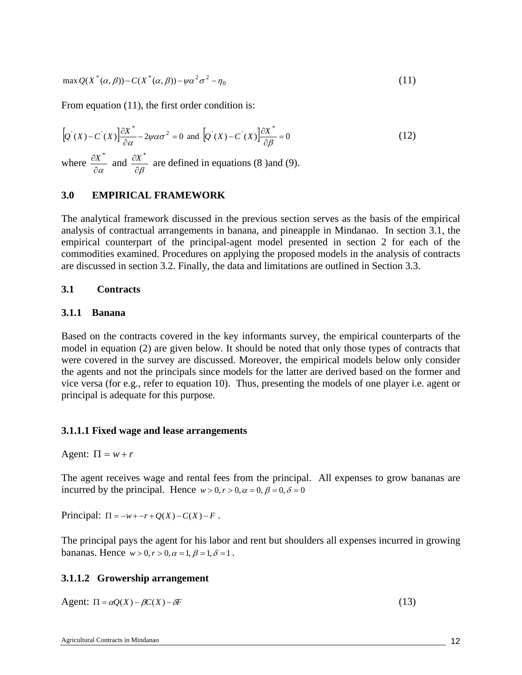$$
\max Q(X^*(\alpha,\beta)) - C(X^*(\alpha,\beta)) - \psi\alpha^2\sigma^2 - \eta_0 \tag{11}
$$

From equation (11), the first order condition is:

$$
[Q^{'}(X) - C^{'}(X)] \frac{\partial X^*}{\partial \alpha} - 2\psi \alpha \sigma^2 = 0 \text{ and } [Q^{'}(X) - C^{'}(X)] \frac{\partial X^*}{\partial \beta} = 0
$$
\n(12)

where  $\frac{\partial X^*}{\partial \alpha}$  and  $\frac{\partial X^*}{\partial \beta}$  are defined in equations (8 )and (9).

#### **3.0 EMPIRICAL FRAMEWORK**

The analytical framework discussed in the previous section serves as the basis of the empirical analysis of contractual arrangements in banana, and pineapple in Mindanao. In section 3.1, the empirical counterpart of the principal-agent model presented in section 2 for each of the commodities examined. Procedures on applying the proposed models in the analysis of contracts are discussed in section 3.2. Finally, the data and limitations are outlined in Section 3.3.

#### **3.1 Contracts**

#### **3.1.1 Banana**

Based on the contracts covered in the key informants survey, the empirical counterparts of the model in equation (2) are given below. It should be noted that only those types of contracts that were covered in the survey are discussed. Moreover, the empirical models below only consider the agents and not the principals since models for the latter are derived based on the former and vice versa (for e.g., refer to equation 10). Thus, presenting the models of one player i.e. agent or principal is adequate for this purpose.

#### **3.1.1.1 Fixed wage and lease arrangements**

Agent:  $\Pi = w + r$ 

The agent receives wage and rental fees from the principal. All expenses to grow bananas are incurred by the principal. Hence  $w > 0, r > 0, \alpha = 0, \beta = 0, \delta = 0$ 

Principal:  $\Pi = -w + -r + Q(X) - C(X) - F$ .

The principal pays the agent for his labor and rent but shoulders all expenses incurred in growing bananas. Hence  $w > 0, r > 0, \alpha = 1, \beta = 1, \delta = 1$ .

#### **3.1.1.2 Growership arrangement**

Agent:  $\Pi = \alpha Q(X) - \beta C(X) - \delta F$  (13)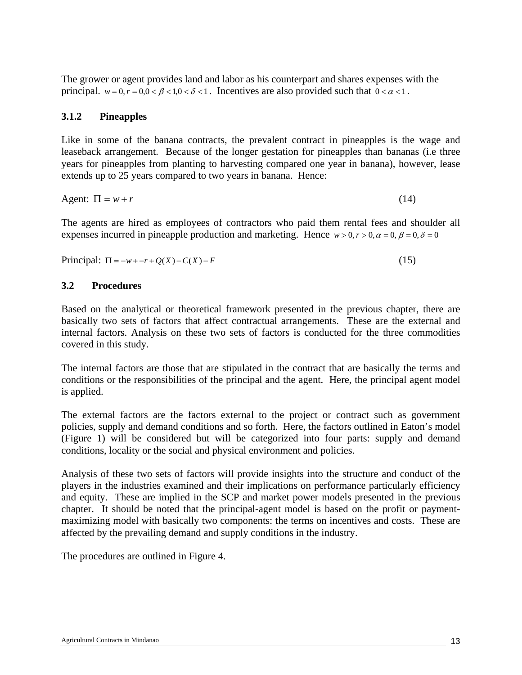The grower or agent provides land and labor as his counterpart and shares expenses with the principal.  $w = 0, r = 0, 0 < \beta < 1, 0 < \delta < 1$ . Incentives are also provided such that  $0 < \alpha < 1$ .

#### **3.1.2 Pineapples**

Like in some of the banana contracts, the prevalent contract in pineapples is the wage and leaseback arrangement. Because of the longer gestation for pineapples than bananas (i.e three years for pineapples from planting to harvesting compared one year in banana), however, lease extends up to 25 years compared to two years in banana. Hence:

Agent:  $\Pi = w + r$  (14)

The agents are hired as employees of contractors who paid them rental fees and shoulder all expenses incurred in pineapple production and marketing. Hence  $w > 0, r > 0, \alpha = 0, \beta = 0, \delta = 0$ 

 $Principal: \Pi = -w + -r + O(X) - C(X) - F$  (15)

#### **3.2 Procedures**

Based on the analytical or theoretical framework presented in the previous chapter, there are basically two sets of factors that affect contractual arrangements. These are the external and internal factors. Analysis on these two sets of factors is conducted for the three commodities covered in this study.

The internal factors are those that are stipulated in the contract that are basically the terms and conditions or the responsibilities of the principal and the agent. Here, the principal agent model is applied.

The external factors are the factors external to the project or contract such as government policies, supply and demand conditions and so forth. Here, the factors outlined in Eaton's model (Figure 1) will be considered but will be categorized into four parts: supply and demand conditions, locality or the social and physical environment and policies.

Analysis of these two sets of factors will provide insights into the structure and conduct of the players in the industries examined and their implications on performance particularly efficiency and equity. These are implied in the SCP and market power models presented in the previous chapter. It should be noted that the principal-agent model is based on the profit or paymentmaximizing model with basically two components: the terms on incentives and costs. These are affected by the prevailing demand and supply conditions in the industry.

The procedures are outlined in Figure 4.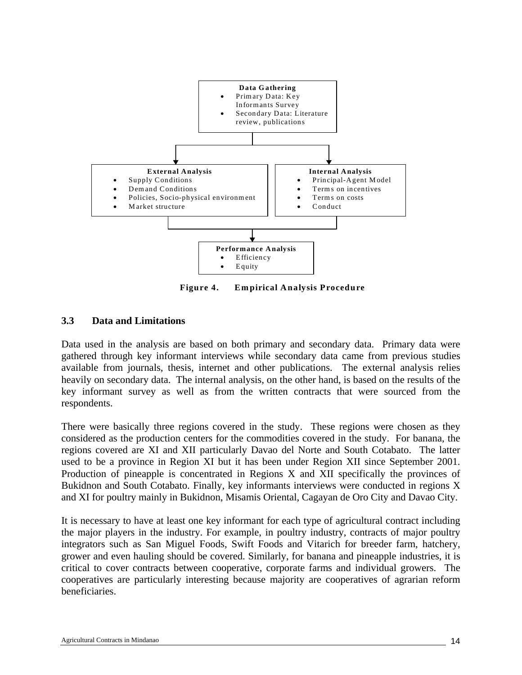

**Figure 4. Empirical Analysis Procedure** 

#### **3.3 Data and Limitations**

Data used in the analysis are based on both primary and secondary data. Primary data were gathered through key informant interviews while secondary data came from previous studies available from journals, thesis, internet and other publications. The external analysis relies heavily on secondary data. The internal analysis, on the other hand, is based on the results of the key informant survey as well as from the written contracts that were sourced from the respondents.

There were basically three regions covered in the study. These regions were chosen as they considered as the production centers for the commodities covered in the study. For banana, the regions covered are XI and XII particularly Davao del Norte and South Cotabato. The latter used to be a province in Region XI but it has been under Region XII since September 2001. Production of pineapple is concentrated in Regions X and XII specifically the provinces of Bukidnon and South Cotabato. Finally, key informants interviews were conducted in regions X and XI for poultry mainly in Bukidnon, Misamis Oriental, Cagayan de Oro City and Davao City.

It is necessary to have at least one key informant for each type of agricultural contract including the major players in the industry. For example, in poultry industry, contracts of major poultry integrators such as San Miguel Foods, Swift Foods and Vitarich for breeder farm, hatchery, grower and even hauling should be covered. Similarly, for banana and pineapple industries, it is critical to cover contracts between cooperative, corporate farms and individual growers. The cooperatives are particularly interesting because majority are cooperatives of agrarian reform beneficiaries.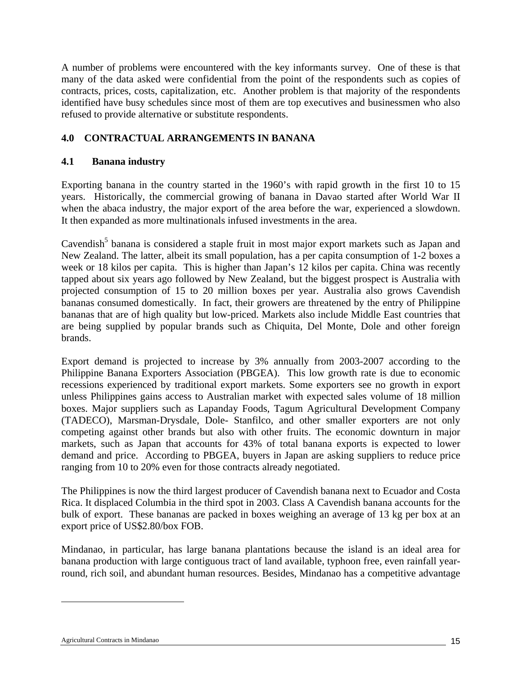A number of problems were encountered with the key informants survey. One of these is that many of the data asked were confidential from the point of the respondents such as copies of contracts, prices, costs, capitalization, etc. Another problem is that majority of the respondents identified have busy schedules since most of them are top executives and businessmen who also refused to provide alternative or substitute respondents.

### **4.0 CONTRACTUAL ARRANGEMENTS IN BANANA**

### **4.1 Banana industry**

Exporting banana in the country started in the 1960's with rapid growth in the first 10 to 15 years. Historically, the commercial growing of banana in Davao started after World War II when the abaca industry, the major export of the area before the war, experienced a slowdown. It then expanded as more multinationals infused investments in the area.

Cavendish<sup>5</sup> banana is considered a staple fruit in most major export markets such as Japan and New Zealand. The latter, albeit its small population, has a per capita consumption of 1-2 boxes a week or 18 kilos per capita. This is higher than Japan's 12 kilos per capita. China was recently tapped about six years ago followed by New Zealand, but the biggest prospect is Australia with projected consumption of 15 to 20 million boxes per year. Australia also grows Cavendish bananas consumed domestically. In fact, their growers are threatened by the entry of Philippine bananas that are of high quality but low-priced. Markets also include Middle East countries that are being supplied by popular brands such as Chiquita, Del Monte, Dole and other foreign brands.

Export demand is projected to increase by 3% annually from 2003-2007 according to the Philippine Banana Exporters Association (PBGEA). This low growth rate is due to economic recessions experienced by traditional export markets. Some exporters see no growth in export unless Philippines gains access to Australian market with expected sales volume of 18 million boxes. Major suppliers such as Lapanday Foods, Tagum Agricultural Development Company (TADECO), Marsman-Drysdale, Dole- Stanfilco, and other smaller exporters are not only competing against other brands but also with other fruits. The economic downturn in major markets, such as Japan that accounts for 43% of total banana exports is expected to lower demand and price. According to PBGEA, buyers in Japan are asking suppliers to reduce price ranging from 10 to 20% even for those contracts already negotiated.

The Philippines is now the third largest producer of Cavendish banana next to Ecuador and Costa Rica. It displaced Columbia in the third spot in 2003. Class A Cavendish banana accounts for the bulk of export. These bananas are packed in boxes weighing an average of 13 kg per box at an export price of US\$2.80/box FOB.

Mindanao, in particular, has large banana plantations because the island is an ideal area for banana production with large contiguous tract of land available, typhoon free, even rainfall yearround, rich soil, and abundant human resources. Besides, Mindanao has a competitive advantage

l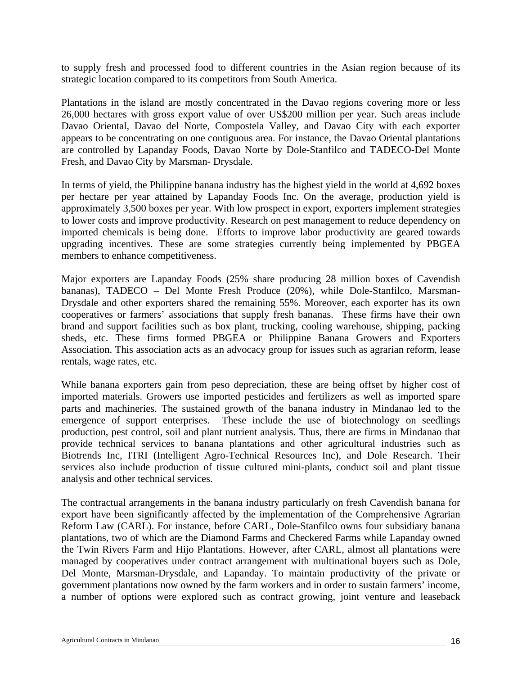to supply fresh and processed food to different countries in the Asian region because of its strategic location compared to its competitors from South America.

Plantations in the island are mostly concentrated in the Davao regions covering more or less 26,000 hectares with gross export value of over US\$200 million per year. Such areas include Davao Oriental, Davao del Norte, Compostela Valley, and Davao City with each exporter appears to be concentrating on one contiguous area. For instance, the Davao Oriental plantations are controlled by Lapanday Foods, Davao Norte by Dole-Stanfilco and TADECO-Del Monte Fresh, and Davao City by Marsman- Drysdale.

In terms of yield, the Philippine banana industry has the highest yield in the world at 4,692 boxes per hectare per year attained by Lapanday Foods Inc. On the average, production yield is approximately 3,500 boxes per year. With low prospect in export, exporters implement strategies to lower costs and improve productivity. Research on pest management to reduce dependency on imported chemicals is being done. Efforts to improve labor productivity are geared towards upgrading incentives. These are some strategies currently being implemented by PBGEA members to enhance competitiveness.

Major exporters are Lapanday Foods (25% share producing 28 million boxes of Cavendish bananas), TADECO – Del Monte Fresh Produce (20%), while Dole-Stanfilco, Marsman-Drysdale and other exporters shared the remaining 55%. Moreover, each exporter has its own cooperatives or farmers' associations that supply fresh bananas. These firms have their own brand and support facilities such as box plant, trucking, cooling warehouse, shipping, packing sheds, etc. These firms formed PBGEA or Philippine Banana Growers and Exporters Association. This association acts as an advocacy group for issues such as agrarian reform, lease rentals, wage rates, etc.

While banana exporters gain from peso depreciation, these are being offset by higher cost of imported materials. Growers use imported pesticides and fertilizers as well as imported spare parts and machineries. The sustained growth of the banana industry in Mindanao led to the emergence of support enterprises. These include the use of biotechnology on seedlings production, pest control, soil and plant nutrient analysis. Thus, there are firms in Mindanao that provide technical services to banana plantations and other agricultural industries such as Biotrends Inc, ITRI (Intelligent Agro-Technical Resources Inc), and Dole Research. Their services also include production of tissue cultured mini-plants, conduct soil and plant tissue analysis and other technical services.

The contractual arrangements in the banana industry particularly on fresh Cavendish banana for export have been significantly affected by the implementation of the Comprehensive Agrarian Reform Law (CARL). For instance, before CARL, Dole-Stanfilco owns four subsidiary banana plantations, two of which are the Diamond Farms and Checkered Farms while Lapanday owned the Twin Rivers Farm and Hijo Plantations. However, after CARL, almost all plantations were managed by cooperatives under contract arrangement with multinational buyers such as Dole, Del Monte, Marsman-Drysdale, and Lapanday. To maintain productivity of the private or government plantations now owned by the farm workers and in order to sustain farmers' income, a number of options were explored such as contract growing, joint venture and leaseback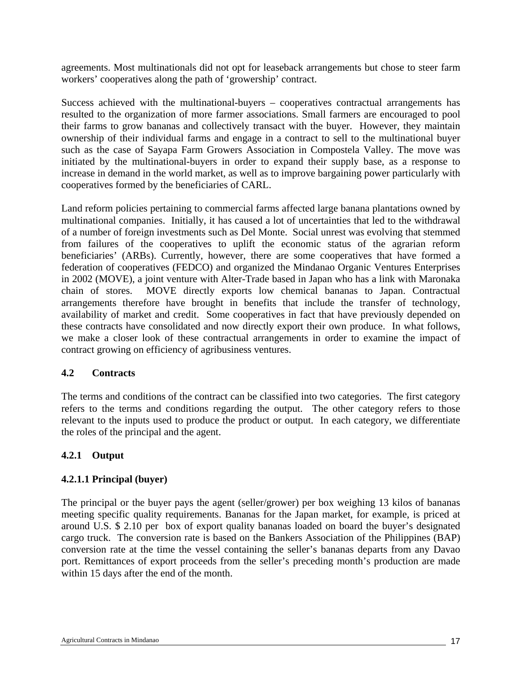agreements. Most multinationals did not opt for leaseback arrangements but chose to steer farm workers' cooperatives along the path of 'growership' contract.

Success achieved with the multinational-buyers – cooperatives contractual arrangements has resulted to the organization of more farmer associations. Small farmers are encouraged to pool their farms to grow bananas and collectively transact with the buyer. However, they maintain ownership of their individual farms and engage in a contract to sell to the multinational buyer such as the case of Sayapa Farm Growers Association in Compostela Valley. The move was initiated by the multinational-buyers in order to expand their supply base, as a response to increase in demand in the world market, as well as to improve bargaining power particularly with cooperatives formed by the beneficiaries of CARL.

Land reform policies pertaining to commercial farms affected large banana plantations owned by multinational companies. Initially, it has caused a lot of uncertainties that led to the withdrawal of a number of foreign investments such as Del Monte. Social unrest was evolving that stemmed from failures of the cooperatives to uplift the economic status of the agrarian reform beneficiaries' (ARBs). Currently, however, there are some cooperatives that have formed a federation of cooperatives (FEDCO) and organized the Mindanao Organic Ventures Enterprises in 2002 (MOVE), a joint venture with Alter-Trade based in Japan who has a link with Maronaka chain of stores. MOVE directly exports low chemical bananas to Japan. Contractual arrangements therefore have brought in benefits that include the transfer of technology, availability of market and credit. Some cooperatives in fact that have previously depended on these contracts have consolidated and now directly export their own produce. In what follows, we make a closer look of these contractual arrangements in order to examine the impact of contract growing on efficiency of agribusiness ventures.

#### **4.2 Contracts**

The terms and conditions of the contract can be classified into two categories. The first category refers to the terms and conditions regarding the output. The other category refers to those relevant to the inputs used to produce the product or output. In each category, we differentiate the roles of the principal and the agent.

### **4.2.1 Output**

### **4.2.1.1 Principal (buyer)**

The principal or the buyer pays the agent (seller/grower) per box weighing 13 kilos of bananas meeting specific quality requirements. Bananas for the Japan market, for example, is priced at around U.S. \$ 2.10 per box of export quality bananas loaded on board the buyer's designated cargo truck. The conversion rate is based on the Bankers Association of the Philippines (BAP) conversion rate at the time the vessel containing the seller's bananas departs from any Davao port. Remittances of export proceeds from the seller's preceding month's production are made within 15 days after the end of the month.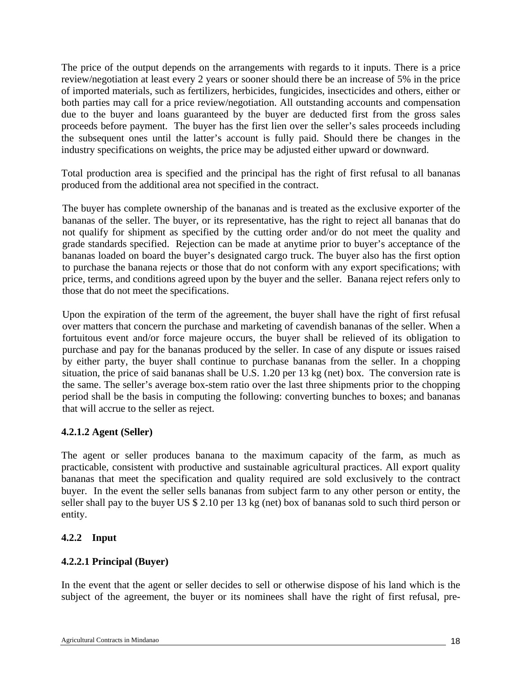The price of the output depends on the arrangements with regards to it inputs. There is a price review/negotiation at least every 2 years or sooner should there be an increase of 5% in the price of imported materials, such as fertilizers, herbicides, fungicides, insecticides and others, either or both parties may call for a price review/negotiation. All outstanding accounts and compensation due to the buyer and loans guaranteed by the buyer are deducted first from the gross sales proceeds before payment. The buyer has the first lien over the seller's sales proceeds including the subsequent ones until the latter's account is fully paid. Should there be changes in the industry specifications on weights, the price may be adjusted either upward or downward.

Total production area is specified and the principal has the right of first refusal to all bananas produced from the additional area not specified in the contract.

The buyer has complete ownership of the bananas and is treated as the exclusive exporter of the bananas of the seller. The buyer, or its representative, has the right to reject all bananas that do not qualify for shipment as specified by the cutting order and/or do not meet the quality and grade standards specified. Rejection can be made at anytime prior to buyer's acceptance of the bananas loaded on board the buyer's designated cargo truck. The buyer also has the first option to purchase the banana rejects or those that do not conform with any export specifications; with price, terms, and conditions agreed upon by the buyer and the seller. Banana reject refers only to those that do not meet the specifications.

Upon the expiration of the term of the agreement, the buyer shall have the right of first refusal over matters that concern the purchase and marketing of cavendish bananas of the seller. When a fortuitous event and/or force majeure occurs, the buyer shall be relieved of its obligation to purchase and pay for the bananas produced by the seller. In case of any dispute or issues raised by either party, the buyer shall continue to purchase bananas from the seller. In a chopping situation, the price of said bananas shall be U.S. 1.20 per 13 kg (net) box. The conversion rate is the same. The seller's average box-stem ratio over the last three shipments prior to the chopping period shall be the basis in computing the following: converting bunches to boxes; and bananas that will accrue to the seller as reject.

### **4.2.1.2 Agent (Seller)**

The agent or seller produces banana to the maximum capacity of the farm, as much as practicable, consistent with productive and sustainable agricultural practices. All export quality bananas that meet the specification and quality required are sold exclusively to the contract buyer. In the event the seller sells bananas from subject farm to any other person or entity, the seller shall pay to the buyer US \$ 2.10 per 13 kg (net) box of bananas sold to such third person or entity.

### **4.2.2 Input**

### **4.2.2.1 Principal (Buyer)**

In the event that the agent or seller decides to sell or otherwise dispose of his land which is the subject of the agreement, the buyer or its nominees shall have the right of first refusal, pre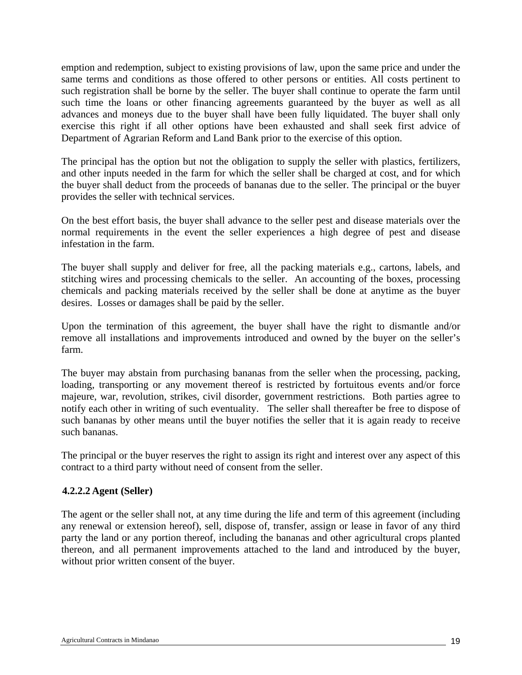emption and redemption, subject to existing provisions of law, upon the same price and under the same terms and conditions as those offered to other persons or entities. All costs pertinent to such registration shall be borne by the seller. The buyer shall continue to operate the farm until such time the loans or other financing agreements guaranteed by the buyer as well as all advances and moneys due to the buyer shall have been fully liquidated. The buyer shall only exercise this right if all other options have been exhausted and shall seek first advice of Department of Agrarian Reform and Land Bank prior to the exercise of this option.

The principal has the option but not the obligation to supply the seller with plastics, fertilizers, and other inputs needed in the farm for which the seller shall be charged at cost, and for which the buyer shall deduct from the proceeds of bananas due to the seller. The principal or the buyer provides the seller with technical services.

On the best effort basis, the buyer shall advance to the seller pest and disease materials over the normal requirements in the event the seller experiences a high degree of pest and disease infestation in the farm.

The buyer shall supply and deliver for free, all the packing materials e.g., cartons, labels, and stitching wires and processing chemicals to the seller. An accounting of the boxes, processing chemicals and packing materials received by the seller shall be done at anytime as the buyer desires. Losses or damages shall be paid by the seller.

Upon the termination of this agreement, the buyer shall have the right to dismantle and/or remove all installations and improvements introduced and owned by the buyer on the seller's farm.

The buyer may abstain from purchasing bananas from the seller when the processing, packing, loading, transporting or any movement thereof is restricted by fortuitous events and/or force majeure, war, revolution, strikes, civil disorder, government restrictions. Both parties agree to notify each other in writing of such eventuality. The seller shall thereafter be free to dispose of such bananas by other means until the buyer notifies the seller that it is again ready to receive such bananas.

The principal or the buyer reserves the right to assign its right and interest over any aspect of this contract to a third party without need of consent from the seller.

### **4.2.2.2 Agent (Seller)**

The agent or the seller shall not, at any time during the life and term of this agreement (including any renewal or extension hereof), sell, dispose of, transfer, assign or lease in favor of any third party the land or any portion thereof, including the bananas and other agricultural crops planted thereon, and all permanent improvements attached to the land and introduced by the buyer, without prior written consent of the buyer.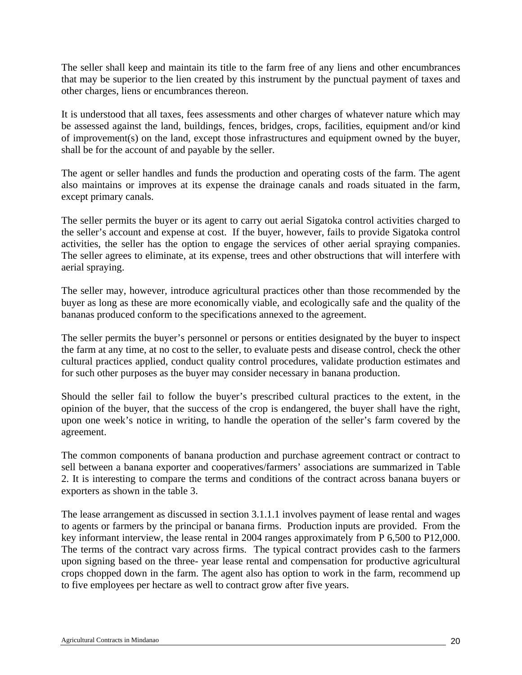The seller shall keep and maintain its title to the farm free of any liens and other encumbrances that may be superior to the lien created by this instrument by the punctual payment of taxes and other charges, liens or encumbrances thereon.

It is understood that all taxes, fees assessments and other charges of whatever nature which may be assessed against the land, buildings, fences, bridges, crops, facilities, equipment and/or kind of improvement(s) on the land, except those infrastructures and equipment owned by the buyer, shall be for the account of and payable by the seller.

The agent or seller handles and funds the production and operating costs of the farm. The agent also maintains or improves at its expense the drainage canals and roads situated in the farm, except primary canals.

The seller permits the buyer or its agent to carry out aerial Sigatoka control activities charged to the seller's account and expense at cost. If the buyer, however, fails to provide Sigatoka control activities, the seller has the option to engage the services of other aerial spraying companies. The seller agrees to eliminate, at its expense, trees and other obstructions that will interfere with aerial spraying.

The seller may, however, introduce agricultural practices other than those recommended by the buyer as long as these are more economically viable, and ecologically safe and the quality of the bananas produced conform to the specifications annexed to the agreement.

The seller permits the buyer's personnel or persons or entities designated by the buyer to inspect the farm at any time, at no cost to the seller, to evaluate pests and disease control, check the other cultural practices applied, conduct quality control procedures, validate production estimates and for such other purposes as the buyer may consider necessary in banana production.

Should the seller fail to follow the buyer's prescribed cultural practices to the extent, in the opinion of the buyer, that the success of the crop is endangered, the buyer shall have the right, upon one week's notice in writing, to handle the operation of the seller's farm covered by the agreement.

The common components of banana production and purchase agreement contract or contract to sell between a banana exporter and cooperatives/farmers' associations are summarized in Table 2. It is interesting to compare the terms and conditions of the contract across banana buyers or exporters as shown in the table 3.

The lease arrangement as discussed in section 3.1.1.1 involves payment of lease rental and wages to agents or farmers by the principal or banana firms. Production inputs are provided. From the key informant interview, the lease rental in 2004 ranges approximately from P 6,500 to P12,000. The terms of the contract vary across firms. The typical contract provides cash to the farmers upon signing based on the three- year lease rental and compensation for productive agricultural crops chopped down in the farm. The agent also has option to work in the farm, recommend up to five employees per hectare as well to contract grow after five years.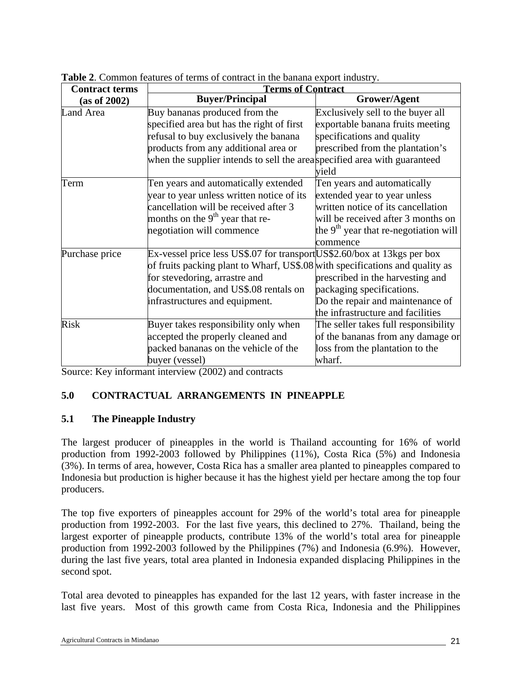| <b>Contract terms</b> | <b>Terms of Contract</b>                                                     |                                         |  |  |
|-----------------------|------------------------------------------------------------------------------|-----------------------------------------|--|--|
| (as of 2002)          | <b>Buyer/Principal</b>                                                       | Grower/Agent                            |  |  |
| Land Area             | Buy bananas produced from the                                                | Exclusively sell to the buyer all       |  |  |
|                       | specified area but has the right of first                                    | exportable banana fruits meeting        |  |  |
|                       | refusal to buy exclusively the banana                                        | specifications and quality              |  |  |
|                       | products from any additional area or                                         | prescribed from the plantation's        |  |  |
|                       | when the supplier intends to sell the areaspecified area with guaranteed     |                                         |  |  |
|                       |                                                                              | yield                                   |  |  |
| Term                  | Ten years and automatically extended                                         | Ten years and automatically             |  |  |
|                       | year to year unless written notice of its                                    | extended year to year unless            |  |  |
|                       | cancellation will be received after 3                                        | written notice of its cancellation      |  |  |
|                       | months on the $9th$ year that re-                                            | will be received after 3 months on      |  |  |
|                       | negotiation will commence                                                    | the $9th$ year that re-negotiation will |  |  |
|                       |                                                                              | commence                                |  |  |
| Purchase price        | Ex-vessel price less US\$.07 for transport US\$2.60/box at 13kgs per box     |                                         |  |  |
|                       | of fruits packing plant to Wharf, US\$.08 with specifications and quality as |                                         |  |  |
|                       | for stevedoring, arrastre and                                                | prescribed in the harvesting and        |  |  |
|                       | documentation, and US\$.08 rentals on                                        | packaging specifications.               |  |  |
|                       | infrastructures and equipment.                                               | Do the repair and maintenance of        |  |  |
|                       |                                                                              | the infrastructure and facilities       |  |  |
| <b>Risk</b>           | Buyer takes responsibility only when                                         | The seller takes full responsibility    |  |  |
|                       | accepted the properly cleaned and                                            | of the bananas from any damage or       |  |  |
|                       | packed bananas on the vehicle of the                                         | loss from the plantation to the         |  |  |
|                       | buyer (vessel)                                                               | wharf.                                  |  |  |

**Table 2**. Common features of terms of contract in the banana export industry.

Source: Key informant interview (2002) and contracts

### **5.0 CONTRACTUAL ARRANGEMENTS IN PINEAPPLE**

### **5.1 The Pineapple Industry**

The largest producer of pineapples in the world is Thailand accounting for 16% of world production from 1992-2003 followed by Philippines (11%), Costa Rica (5%) and Indonesia (3%). In terms of area, however, Costa Rica has a smaller area planted to pineapples compared to Indonesia but production is higher because it has the highest yield per hectare among the top four producers.

The top five exporters of pineapples account for 29% of the world's total area for pineapple production from 1992-2003. For the last five years, this declined to 27%. Thailand, being the largest exporter of pineapple products, contribute 13% of the world's total area for pineapple production from 1992-2003 followed by the Philippines (7%) and Indonesia (6.9%). However, during the last five years, total area planted in Indonesia expanded displacing Philippines in the second spot.

Total area devoted to pineapples has expanded for the last 12 years, with faster increase in the last five years. Most of this growth came from Costa Rica, Indonesia and the Philippines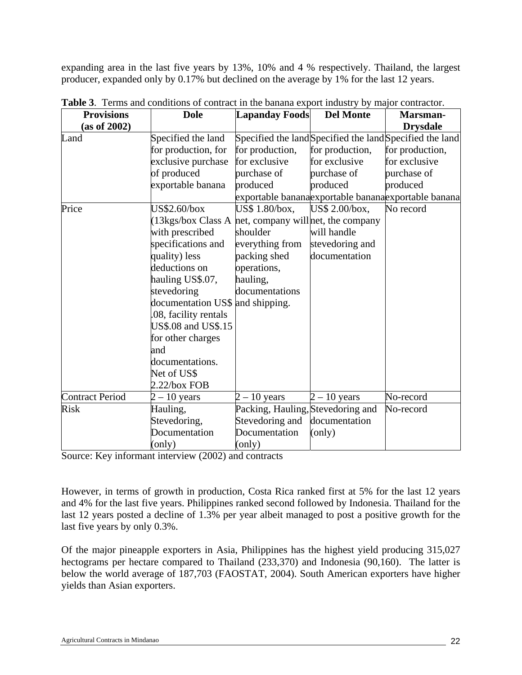expanding area in the last five years by 13%, 10% and 4 % respectively. Thailand, the largest producer, expanded only by 0.17% but declined on the average by 1% for the last 12 years.

| <b>Provisions</b>                | <b>Dole</b>                                                               | <b>Lapanday Foods</b>             | <b>Del Monte</b> | <b>Marsman-</b>                                          |
|----------------------------------|---------------------------------------------------------------------------|-----------------------------------|------------------|----------------------------------------------------------|
| (as of 2002)                     |                                                                           |                                   |                  | <b>Drysdale</b>                                          |
| Land                             | Specified the land                                                        |                                   |                  | Specified the land Specified the land Specified the land |
|                                  | for production, for                                                       | for production,                   | for production,  | for production,                                          |
|                                  | exclusive purchase                                                        | for exclusive                     | for exclusive    | for exclusive                                            |
|                                  | of produced                                                               | purchase of                       | purchase of      | purchase of                                              |
|                                  | exportable banana                                                         | produced                          | produced         | produced                                                 |
|                                  |                                                                           |                                   |                  | exportable bananaexportable bananaexportable banana      |
| Price                            | US\$2.60/box                                                              | US\$ 1.80/box,                    | US\$ 2.00/box,   | No record                                                |
|                                  | $(13\text{kgs}/\text{box Class A})$<br>net, company will net, the company |                                   |                  |                                                          |
|                                  | with prescribed                                                           | shoulder                          | will handle      |                                                          |
|                                  | specifications and                                                        | everything from                   | stevedoring and  |                                                          |
|                                  | quality) less                                                             | packing shed                      | documentation    |                                                          |
|                                  | deductions on                                                             | operations,                       |                  |                                                          |
|                                  | hauling US\$.07,                                                          | hauling,                          |                  |                                                          |
|                                  | stevedoring                                                               | documentations                    |                  |                                                          |
| documentation US\$ and shipping. |                                                                           |                                   |                  |                                                          |
|                                  | .08, facility rentals                                                     |                                   |                  |                                                          |
|                                  | US\$.08 and US\$.15                                                       |                                   |                  |                                                          |
|                                  | for other charges                                                         |                                   |                  |                                                          |
|                                  | and                                                                       |                                   |                  |                                                          |
|                                  | documentations.                                                           |                                   |                  |                                                          |
|                                  | Net of US\$                                                               |                                   |                  |                                                          |
|                                  | $2.22$ /box FOB                                                           |                                   |                  |                                                          |
| <b>Contract Period</b>           | $2 - 10$ years                                                            | $2 - 10$ years                    | $2 - 10$ years   | No-record                                                |
| <b>Risk</b>                      | Hauling,                                                                  | Packing, Hauling, Stevedoring and |                  | No-record                                                |
|                                  | Stevedoring,                                                              | Stevedoring and                   | documentation    |                                                          |
|                                  | Documentation                                                             | Documentation                     | (only)           |                                                          |
|                                  | (only)                                                                    | (only)                            |                  |                                                          |

**Table 3**. Terms and conditions of contract in the banana export industry by major contractor.

Source: Key informant interview (2002) and contracts

However, in terms of growth in production, Costa Rica ranked first at 5% for the last 12 years and 4% for the last five years. Philippines ranked second followed by Indonesia. Thailand for the last 12 years posted a decline of 1.3% per year albeit managed to post a positive growth for the last five years by only 0.3%.

Of the major pineapple exporters in Asia, Philippines has the highest yield producing 315,027 hectograms per hectare compared to Thailand (233,370) and Indonesia (90,160). The latter is below the world average of 187,703 (FAOSTAT, 2004). South American exporters have higher yields than Asian exporters.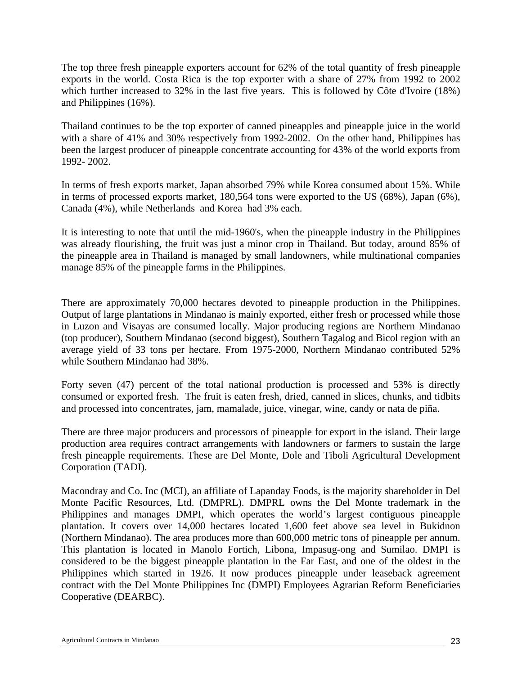The top three fresh pineapple exporters account for 62% of the total quantity of fresh pineapple exports in the world. Costa Rica is the top exporter with a share of 27% from 1992 to 2002 which further increased to 32% in the last five years. This is followed by Côte d'Ivoire (18%) and Philippines (16%).

Thailand continues to be the top exporter of canned pineapples and pineapple juice in the world with a share of 41% and 30% respectively from 1992-2002. On the other hand, Philippines has been the largest producer of pineapple concentrate accounting for 43% of the world exports from 1992- 2002.

In terms of fresh exports market, Japan absorbed 79% while Korea consumed about 15%. While in terms of processed exports market, 180,564 tons were exported to the US (68%), Japan (6%), Canada (4%), while Netherlands and Korea had 3% each.

It is interesting to note that until the mid-1960's, when the pineapple industry in the Philippines was already flourishing, the fruit was just a minor crop in Thailand. But today, around 85% of the pineapple area in Thailand is managed by small landowners, while multinational companies manage 85% of the pineapple farms in the Philippines.

There are approximately 70,000 hectares devoted to pineapple production in the Philippines. Output of large plantations in Mindanao is mainly exported, either fresh or processed while those in Luzon and Visayas are consumed locally. Major producing regions are Northern Mindanao (top producer), Southern Mindanao (second biggest), Southern Tagalog and Bicol region with an average yield of 33 tons per hectare. From 1975-2000, Northern Mindanao contributed 52% while Southern Mindanao had 38%.

Forty seven (47) percent of the total national production is processed and 53% is directly consumed or exported fresh. The fruit is eaten fresh, dried, canned in slices, chunks, and tidbits and processed into concentrates, jam, mamalade, juice, vinegar, wine, candy or nata de piña.

There are three major producers and processors of pineapple for export in the island. Their large production area requires contract arrangements with landowners or farmers to sustain the large fresh pineapple requirements. These are Del Monte, Dole and Tiboli Agricultural Development Corporation (TADI).

Macondray and Co. Inc (MCI), an affiliate of Lapanday Foods, is the majority shareholder in Del Monte Pacific Resources, Ltd. (DMPRL). DMPRL owns the Del Monte trademark in the Philippines and manages DMPI, which operates the world's largest contiguous pineapple plantation. It covers over 14,000 hectares located 1,600 feet above sea level in Bukidnon (Northern Mindanao). The area produces more than 600,000 metric tons of pineapple per annum. This plantation is located in Manolo Fortich, Libona, Impasug-ong and Sumilao. DMPI is considered to be the biggest pineapple plantation in the Far East, and one of the oldest in the Philippines which started in 1926. It now produces pineapple under leaseback agreement contract with the Del Monte Philippines Inc (DMPI) Employees Agrarian Reform Beneficiaries Cooperative (DEARBC).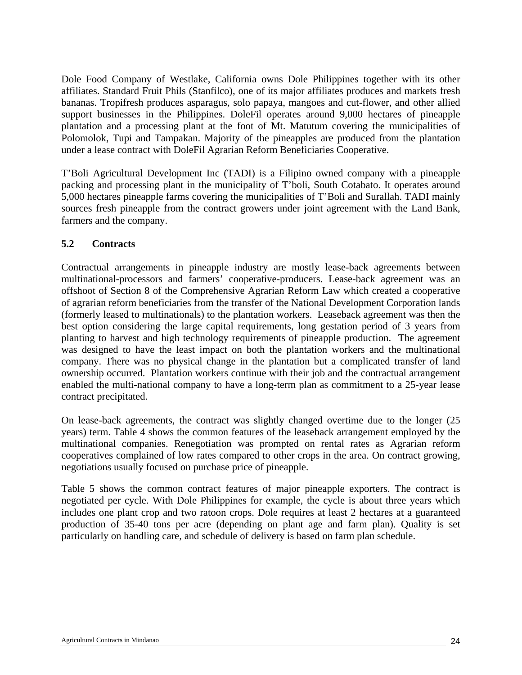Dole Food Company of Westlake, California owns Dole Philippines together with its other affiliates. Standard Fruit Phils (Stanfilco), one of its major affiliates produces and markets fresh bananas. Tropifresh produces asparagus, solo papaya, mangoes and cut-flower, and other allied support businesses in the Philippines. DoleFil operates around 9,000 hectares of pineapple plantation and a processing plant at the foot of Mt. Matutum covering the municipalities of Polomolok, Tupi and Tampakan. Majority of the pineapples are produced from the plantation under a lease contract with DoleFil Agrarian Reform Beneficiaries Cooperative.

T'Boli Agricultural Development Inc (TADI) is a Filipino owned company with a pineapple packing and processing plant in the municipality of T'boli, South Cotabato. It operates around 5,000 hectares pineapple farms covering the municipalities of T'Boli and Surallah. TADI mainly sources fresh pineapple from the contract growers under joint agreement with the Land Bank, farmers and the company.

### **5.2 Contracts**

Contractual arrangements in pineapple industry are mostly lease-back agreements between multinational-processors and farmers' cooperative-producers. Lease-back agreement was an offshoot of Section 8 of the Comprehensive Agrarian Reform Law which created a cooperative of agrarian reform beneficiaries from the transfer of the National Development Corporation lands (formerly leased to multinationals) to the plantation workers. Leaseback agreement was then the best option considering the large capital requirements, long gestation period of 3 years from planting to harvest and high technology requirements of pineapple production. The agreement was designed to have the least impact on both the plantation workers and the multinational company. There was no physical change in the plantation but a complicated transfer of land ownership occurred. Plantation workers continue with their job and the contractual arrangement enabled the multi-national company to have a long-term plan as commitment to a 25-year lease contract precipitated.

On lease-back agreements, the contract was slightly changed overtime due to the longer (25 years) term. Table 4 shows the common features of the leaseback arrangement employed by the multinational companies. Renegotiation was prompted on rental rates as Agrarian reform cooperatives complained of low rates compared to other crops in the area. On contract growing, negotiations usually focused on purchase price of pineapple.

Table 5 shows the common contract features of major pineapple exporters. The contract is negotiated per cycle. With Dole Philippines for example, the cycle is about three years which includes one plant crop and two ratoon crops. Dole requires at least 2 hectares at a guaranteed production of 35-40 tons per acre (depending on plant age and farm plan). Quality is set particularly on handling care, and schedule of delivery is based on farm plan schedule.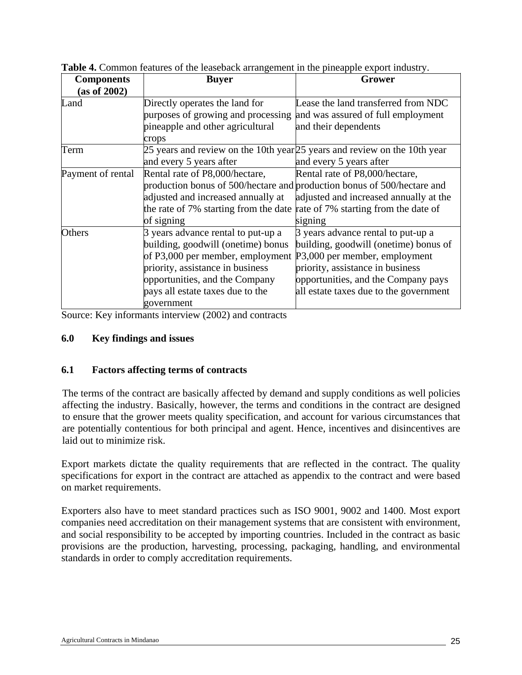| <b>Components</b> | <b>Buyer</b>                                                          | Grower                                                                      |
|-------------------|-----------------------------------------------------------------------|-----------------------------------------------------------------------------|
| (as of 2002)      |                                                                       |                                                                             |
| Land              | Directly operates the land for                                        | Lease the land transferred from NDC                                         |
|                   | purposes of growing and processing and was assured of full employment |                                                                             |
|                   | pineapple and other agricultural                                      | and their dependents                                                        |
|                   | crops                                                                 |                                                                             |
| Term              |                                                                       | 25 years and review on the 10th year $25$ years and review on the 10th year |
|                   | and every 5 years after                                               | and every 5 years after                                                     |
| Payment of rental | Rental rate of P8,000/hectare,                                        | Rental rate of P8,000/hectare,                                              |
|                   |                                                                       | production bonus of 500/hectare and production bonus of 500/hectare and     |
|                   | adjusted and increased annually at                                    | adjusted and increased annually at the                                      |
|                   | the rate of 7% starting from the date                                 | rate of 7% starting from the date of                                        |
|                   | of signing                                                            | signing                                                                     |
| Others            | 3 years advance rental to put-up a                                    | 3 years advance rental to put-up a                                          |
|                   | building, goodwill (onetime) bonus                                    | building, goodwill (onetime) bonus of                                       |
|                   | of P3,000 per member, employment P3,000 per member, employment        |                                                                             |
|                   | priority, assistance in business                                      | priority, assistance in business                                            |
|                   | opportunities, and the Company                                        | opportunities, and the Company pays                                         |
|                   | pays all estate taxes due to the                                      | all estate taxes due to the government                                      |
|                   | government                                                            |                                                                             |

**Table 4.** Common features of the leaseback arrangement in the pineapple export industry.

Source: Key informants interview (2002) and contracts

### **6.0 Key findings and issues**

### **6.1 Factors affecting terms of contracts**

The terms of the contract are basically affected by demand and supply conditions as well policies affecting the industry. Basically, however, the terms and conditions in the contract are designed to ensure that the grower meets quality specification, and account for various circumstances that are potentially contentious for both principal and agent. Hence, incentives and disincentives are laid out to minimize risk.

Export markets dictate the quality requirements that are reflected in the contract. The quality specifications for export in the contract are attached as appendix to the contract and were based on market requirements.

Exporters also have to meet standard practices such as ISO 9001, 9002 and 1400. Most export companies need accreditation on their management systems that are consistent with environment, and social responsibility to be accepted by importing countries. Included in the contract as basic provisions are the production, harvesting, processing, packaging, handling, and environmental standards in order to comply accreditation requirements.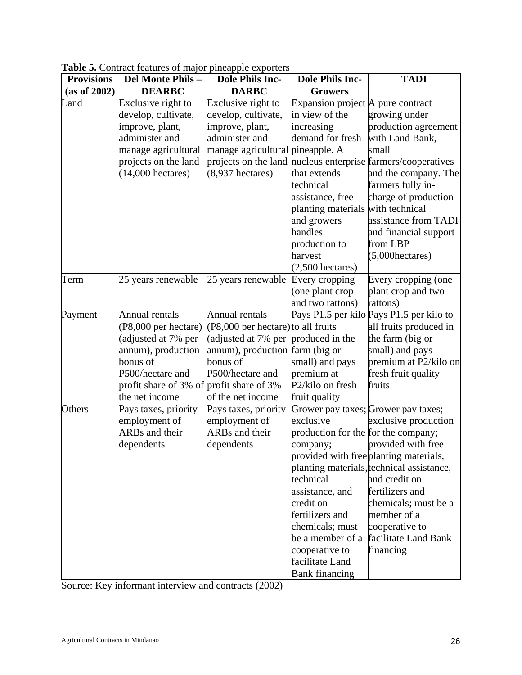| <b>Provisions</b> | <b>radic 3.</b> Contract reatures of major pricappic exporters<br>Del Monte Phils-                                                                                                | <b>Dole Phils Inc-</b>                                                                                                                                                                     | <b>Dole Phils Inc-</b>                                                                                                                                                                                                                                  | <b>TADI</b>                                                                                                                                                                                                                                                                                                |
|-------------------|-----------------------------------------------------------------------------------------------------------------------------------------------------------------------------------|--------------------------------------------------------------------------------------------------------------------------------------------------------------------------------------------|---------------------------------------------------------------------------------------------------------------------------------------------------------------------------------------------------------------------------------------------------------|------------------------------------------------------------------------------------------------------------------------------------------------------------------------------------------------------------------------------------------------------------------------------------------------------------|
| (as of 2002)      | <b>DEARBC</b>                                                                                                                                                                     | <b>DARBC</b>                                                                                                                                                                               | <b>Growers</b>                                                                                                                                                                                                                                          |                                                                                                                                                                                                                                                                                                            |
| Land              | Exclusive right to<br>develop, cultivate,<br>improve, plant,<br>administer and<br>manage agricultural<br>projects on the land<br>$(14,000$ hectares)                              | Exclusive right to<br>develop, cultivate,<br>improve, plant,<br>administer and<br>manage agricultural pineapple. A<br>$(8,937)$ hectares)                                                  | Expansion project A pure contract<br>in view of the<br>increasing<br>demand for fresh<br>that extends<br>technical<br>assistance, free<br>planting materials with technical<br>and growers<br>handles<br>production to<br>harvest<br>$(2,500$ hectares) | growing under<br>production agreement<br>with Land Bank,<br>small<br>projects on the land nucleus enterprise farmers/cooperatives<br>and the company. The<br>farmers fully in-<br>charge of production<br>assistance from TADI<br>and financial support<br>from LBP<br>$(5,000)$ hectares)                 |
| Term              | 25 years renewable                                                                                                                                                                | 25 years renewable                                                                                                                                                                         | Every cropping<br>(one plant crop<br>and two rattons)                                                                                                                                                                                                   | Every cropping (one<br>plant crop and two<br>rattons)                                                                                                                                                                                                                                                      |
| Payment           | Annual rentals<br>(P8,000 per hectare)<br>(adjusted at 7% per<br>annum), production<br>bonus of<br>P500/hectare and<br>profit share of 3% of profit share of 3%<br>the net income | <b>Annual rentals</b><br>(P8,000 per hectare) to all fruits<br>(adjusted at 7% per produced in the<br>annum), production farm (big or<br>bonus of<br>P500/hectare and<br>of the net income | small) and pays<br>premium at<br>P2/kilo on fresh<br>fruit quality                                                                                                                                                                                      | Pays P1.5 per kilo Pays P1.5 per kilo to<br>all fruits produced in<br>the farm (big or<br>small) and pays<br>premium at P2/kilo on<br>fresh fruit quality<br>fruits                                                                                                                                        |
| Others            | Pays taxes, priority<br>employment of<br>ARBs and their<br>dependents                                                                                                             | Pays taxes, priority<br>employment of<br><b>ARBs</b> and their<br>dependents                                                                                                               | exclusive<br>production for the for the company;<br>company;<br>technical<br>assistance, and<br>credit on<br>fertilizers and<br>chemicals; must<br>be a member of a<br>cooperative to<br>facilitate Land<br><b>Bank financing</b>                       | Grower pay taxes; Grower pay taxes;<br>exclusive production<br>provided with free<br>provided with free planting materials,<br>planting materials, technical assistance,<br>and credit on<br>fertilizers and<br>chemicals; must be a<br>member of a<br>cooperative to<br>facilitate Land Bank<br>financing |

**Table 5.** Contract features of major pineapple exporters

Source: Key informant interview and contracts (2002)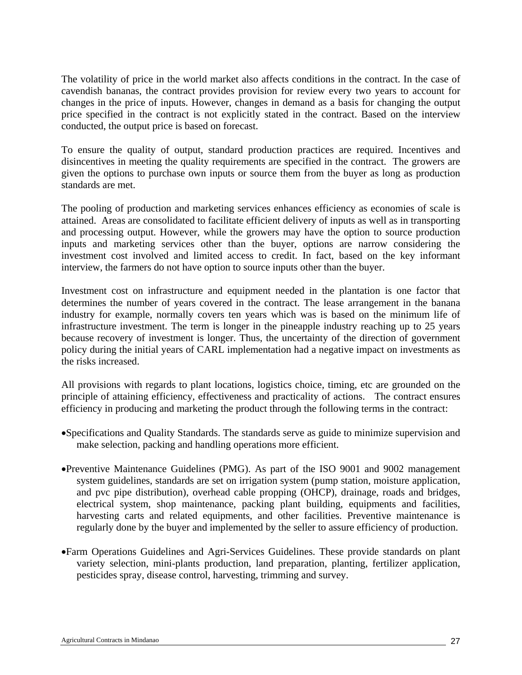The volatility of price in the world market also affects conditions in the contract. In the case of cavendish bananas, the contract provides provision for review every two years to account for changes in the price of inputs. However, changes in demand as a basis for changing the output price specified in the contract is not explicitly stated in the contract. Based on the interview conducted, the output price is based on forecast.

To ensure the quality of output, standard production practices are required. Incentives and disincentives in meeting the quality requirements are specified in the contract. The growers are given the options to purchase own inputs or source them from the buyer as long as production standards are met.

The pooling of production and marketing services enhances efficiency as economies of scale is attained. Areas are consolidated to facilitate efficient delivery of inputs as well as in transporting and processing output. However, while the growers may have the option to source production inputs and marketing services other than the buyer, options are narrow considering the investment cost involved and limited access to credit. In fact, based on the key informant interview, the farmers do not have option to source inputs other than the buyer.

Investment cost on infrastructure and equipment needed in the plantation is one factor that determines the number of years covered in the contract. The lease arrangement in the banana industry for example, normally covers ten years which was is based on the minimum life of infrastructure investment. The term is longer in the pineapple industry reaching up to 25 years because recovery of investment is longer. Thus, the uncertainty of the direction of government policy during the initial years of CARL implementation had a negative impact on investments as the risks increased.

All provisions with regards to plant locations, logistics choice, timing, etc are grounded on the principle of attaining efficiency, effectiveness and practicality of actions. The contract ensures efficiency in producing and marketing the product through the following terms in the contract:

- •Specifications and Quality Standards. The standards serve as guide to minimize supervision and make selection, packing and handling operations more efficient.
- •Preventive Maintenance Guidelines (PMG). As part of the ISO 9001 and 9002 management system guidelines, standards are set on irrigation system (pump station, moisture application, and pvc pipe distribution), overhead cable propping (OHCP), drainage, roads and bridges, electrical system, shop maintenance, packing plant building, equipments and facilities, harvesting carts and related equipments, and other facilities. Preventive maintenance is regularly done by the buyer and implemented by the seller to assure efficiency of production.
- •Farm Operations Guidelines and Agri-Services Guidelines. These provide standards on plant variety selection, mini-plants production, land preparation, planting, fertilizer application, pesticides spray, disease control, harvesting, trimming and survey.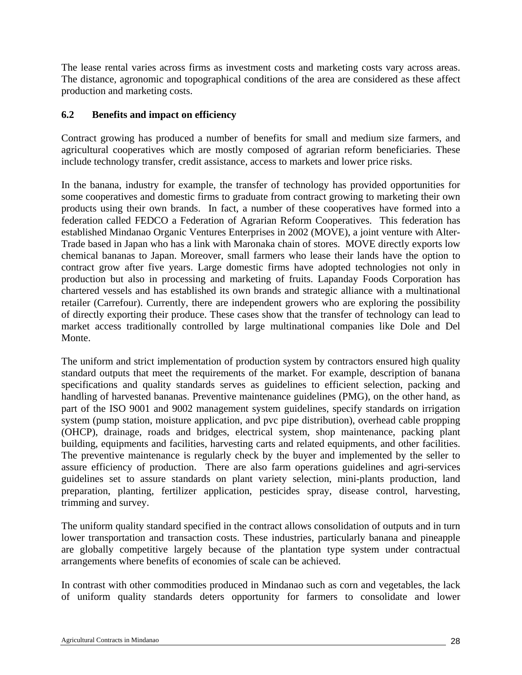The lease rental varies across firms as investment costs and marketing costs vary across areas. The distance, agronomic and topographical conditions of the area are considered as these affect production and marketing costs.

#### **6.2 Benefits and impact on efficiency**

Contract growing has produced a number of benefits for small and medium size farmers, and agricultural cooperatives which are mostly composed of agrarian reform beneficiaries. These include technology transfer, credit assistance, access to markets and lower price risks.

In the banana, industry for example, the transfer of technology has provided opportunities for some cooperatives and domestic firms to graduate from contract growing to marketing their own products using their own brands. In fact, a number of these cooperatives have formed into a federation called FEDCO a Federation of Agrarian Reform Cooperatives. This federation has established Mindanao Organic Ventures Enterprises in 2002 (MOVE), a joint venture with Alter-Trade based in Japan who has a link with Maronaka chain of stores. MOVE directly exports low chemical bananas to Japan. Moreover, small farmers who lease their lands have the option to contract grow after five years. Large domestic firms have adopted technologies not only in production but also in processing and marketing of fruits. Lapanday Foods Corporation has chartered vessels and has established its own brands and strategic alliance with a multinational retailer (Carrefour). Currently, there are independent growers who are exploring the possibility of directly exporting their produce. These cases show that the transfer of technology can lead to market access traditionally controlled by large multinational companies like Dole and Del Monte.

The uniform and strict implementation of production system by contractors ensured high quality standard outputs that meet the requirements of the market. For example, description of banana specifications and quality standards serves as guidelines to efficient selection, packing and handling of harvested bananas. Preventive maintenance guidelines (PMG), on the other hand, as part of the ISO 9001 and 9002 management system guidelines, specify standards on irrigation system (pump station, moisture application, and pvc pipe distribution), overhead cable propping (OHCP), drainage, roads and bridges, electrical system, shop maintenance, packing plant building, equipments and facilities, harvesting carts and related equipments, and other facilities. The preventive maintenance is regularly check by the buyer and implemented by the seller to assure efficiency of production. There are also farm operations guidelines and agri-services guidelines set to assure standards on plant variety selection, mini-plants production, land preparation, planting, fertilizer application, pesticides spray, disease control, harvesting, trimming and survey.

The uniform quality standard specified in the contract allows consolidation of outputs and in turn lower transportation and transaction costs. These industries, particularly banana and pineapple are globally competitive largely because of the plantation type system under contractual arrangements where benefits of economies of scale can be achieved.

In contrast with other commodities produced in Mindanao such as corn and vegetables, the lack of uniform quality standards deters opportunity for farmers to consolidate and lower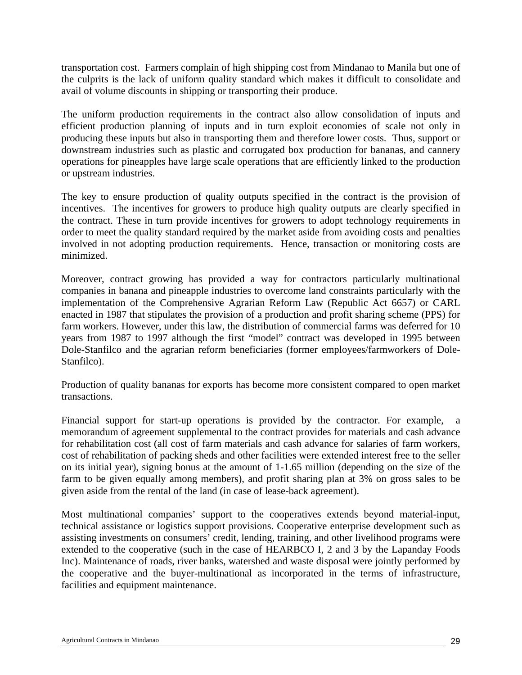transportation cost. Farmers complain of high shipping cost from Mindanao to Manila but one of the culprits is the lack of uniform quality standard which makes it difficult to consolidate and avail of volume discounts in shipping or transporting their produce.

The uniform production requirements in the contract also allow consolidation of inputs and efficient production planning of inputs and in turn exploit economies of scale not only in producing these inputs but also in transporting them and therefore lower costs. Thus, support or downstream industries such as plastic and corrugated box production for bananas, and cannery operations for pineapples have large scale operations that are efficiently linked to the production or upstream industries.

The key to ensure production of quality outputs specified in the contract is the provision of incentives. The incentives for growers to produce high quality outputs are clearly specified in the contract. These in turn provide incentives for growers to adopt technology requirements in order to meet the quality standard required by the market aside from avoiding costs and penalties involved in not adopting production requirements. Hence, transaction or monitoring costs are minimized.

Moreover, contract growing has provided a way for contractors particularly multinational companies in banana and pineapple industries to overcome land constraints particularly with the implementation of the Comprehensive Agrarian Reform Law (Republic Act 6657) or CARL enacted in 1987 that stipulates the provision of a production and profit sharing scheme (PPS) for farm workers. However, under this law, the distribution of commercial farms was deferred for 10 years from 1987 to 1997 although the first "model" contract was developed in 1995 between Dole-Stanfilco and the agrarian reform beneficiaries (former employees/farmworkers of Dole-Stanfilco).

Production of quality bananas for exports has become more consistent compared to open market transactions.

Financial support for start-up operations is provided by the contractor. For example, a memorandum of agreement supplemental to the contract provides for materials and cash advance for rehabilitation cost (all cost of farm materials and cash advance for salaries of farm workers, cost of rehabilitation of packing sheds and other facilities were extended interest free to the seller on its initial year), signing bonus at the amount of 1-1.65 million (depending on the size of the farm to be given equally among members), and profit sharing plan at 3% on gross sales to be given aside from the rental of the land (in case of lease-back agreement).

Most multinational companies' support to the cooperatives extends beyond material-input, technical assistance or logistics support provisions. Cooperative enterprise development such as assisting investments on consumers' credit, lending, training, and other livelihood programs were extended to the cooperative (such in the case of HEARBCO I, 2 and 3 by the Lapanday Foods Inc). Maintenance of roads, river banks, watershed and waste disposal were jointly performed by the cooperative and the buyer-multinational as incorporated in the terms of infrastructure, facilities and equipment maintenance.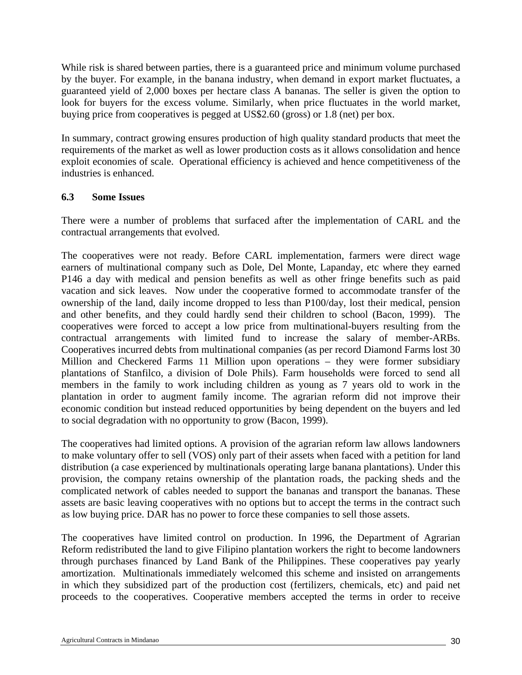While risk is shared between parties, there is a guaranteed price and minimum volume purchased by the buyer. For example, in the banana industry, when demand in export market fluctuates, a guaranteed yield of 2,000 boxes per hectare class A bananas. The seller is given the option to look for buyers for the excess volume. Similarly, when price fluctuates in the world market, buying price from cooperatives is pegged at US\$2.60 (gross) or 1.8 (net) per box.

In summary, contract growing ensures production of high quality standard products that meet the requirements of the market as well as lower production costs as it allows consolidation and hence exploit economies of scale. Operational efficiency is achieved and hence competitiveness of the industries is enhanced.

### **6.3 Some Issues**

There were a number of problems that surfaced after the implementation of CARL and the contractual arrangements that evolved.

The cooperatives were not ready. Before CARL implementation, farmers were direct wage earners of multinational company such as Dole, Del Monte, Lapanday, etc where they earned P146 a day with medical and pension benefits as well as other fringe benefits such as paid vacation and sick leaves. Now under the cooperative formed to accommodate transfer of the ownership of the land, daily income dropped to less than P100/day, lost their medical, pension and other benefits, and they could hardly send their children to school (Bacon, 1999). The cooperatives were forced to accept a low price from multinational-buyers resulting from the contractual arrangements with limited fund to increase the salary of member-ARBs. Cooperatives incurred debts from multinational companies (as per record Diamond Farms lost 30 Million and Checkered Farms 11 Million upon operations – they were former subsidiary plantations of Stanfilco, a division of Dole Phils). Farm households were forced to send all members in the family to work including children as young as 7 years old to work in the plantation in order to augment family income. The agrarian reform did not improve their economic condition but instead reduced opportunities by being dependent on the buyers and led to social degradation with no opportunity to grow (Bacon, 1999).

The cooperatives had limited options. A provision of the agrarian reform law allows landowners to make voluntary offer to sell (VOS) only part of their assets when faced with a petition for land distribution (a case experienced by multinationals operating large banana plantations). Under this provision, the company retains ownership of the plantation roads, the packing sheds and the complicated network of cables needed to support the bananas and transport the bananas. These assets are basic leaving cooperatives with no options but to accept the terms in the contract such as low buying price. DAR has no power to force these companies to sell those assets.

The cooperatives have limited control on production. In 1996, the Department of Agrarian Reform redistributed the land to give Filipino plantation workers the right to become landowners through purchases financed by Land Bank of the Philippines. These cooperatives pay yearly amortization. Multinationals immediately welcomed this scheme and insisted on arrangements in which they subsidized part of the production cost (fertilizers, chemicals, etc) and paid net proceeds to the cooperatives. Cooperative members accepted the terms in order to receive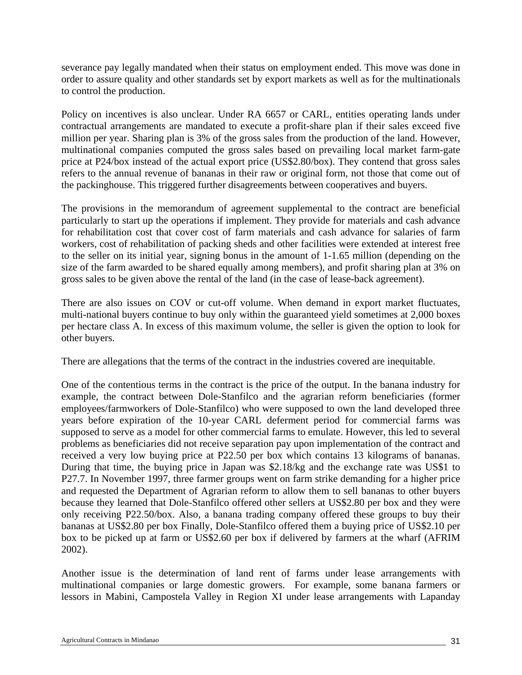severance pay legally mandated when their status on employment ended. This move was done in order to assure quality and other standards set by export markets as well as for the multinationals to control the production.

Policy on incentives is also unclear. Under RA 6657 or CARL, entities operating lands under contractual arrangements are mandated to execute a profit-share plan if their sales exceed five million per year. Sharing plan is 3% of the gross sales from the production of the land. However, multinational companies computed the gross sales based on prevailing local market farm-gate price at P24/box instead of the actual export price (US\$2.80/box). They contend that gross sales refers to the annual revenue of bananas in their raw or original form, not those that come out of the packinghouse. This triggered further disagreements between cooperatives and buyers.

The provisions in the memorandum of agreement supplemental to the contract are beneficial particularly to start up the operations if implement. They provide for materials and cash advance for rehabilitation cost that cover cost of farm materials and cash advance for salaries of farm workers, cost of rehabilitation of packing sheds and other facilities were extended at interest free to the seller on its initial year, signing bonus in the amount of 1-1.65 million (depending on the size of the farm awarded to be shared equally among members), and profit sharing plan at 3% on gross sales to be given above the rental of the land (in the case of lease-back agreement).

There are also issues on COV or cut-off volume. When demand in export market fluctuates, multi-national buyers continue to buy only within the guaranteed yield sometimes at 2,000 boxes per hectare class A. In excess of this maximum volume, the seller is given the option to look for other buyers.

There are allegations that the terms of the contract in the industries covered are inequitable.

One of the contentious terms in the contract is the price of the output. In the banana industry for example, the contract between Dole-Stanfilco and the agrarian reform beneficiaries (former employees/farmworkers of Dole-Stanfilco) who were supposed to own the land developed three years before expiration of the 10-year CARL deferment period for commercial farms was supposed to serve as a model for other commercial farms to emulate. However, this led to several problems as beneficiaries did not receive separation pay upon implementation of the contract and received a very low buying price at P22.50 per box which contains 13 kilograms of bananas. During that time, the buying price in Japan was \$2.18/kg and the exchange rate was US\$1 to P27.7. In November 1997, three farmer groups went on farm strike demanding for a higher price and requested the Department of Agrarian reform to allow them to sell bananas to other buyers because they learned that Dole-Stanfilco offered other sellers at US\$2.80 per box and they were only receiving P22.50/box. Also, a banana trading company offered these groups to buy their bananas at US\$2.80 per box Finally, Dole-Stanfilco offered them a buying price of US\$2.10 per box to be picked up at farm or US\$2.60 per box if delivered by farmers at the wharf (AFRIM 2002).

Another issue is the determination of land rent of farms under lease arrangements with multinational companies or large domestic growers. For example, some banana farmers or lessors in Mabini, Campostela Valley in Region XI under lease arrangements with Lapanday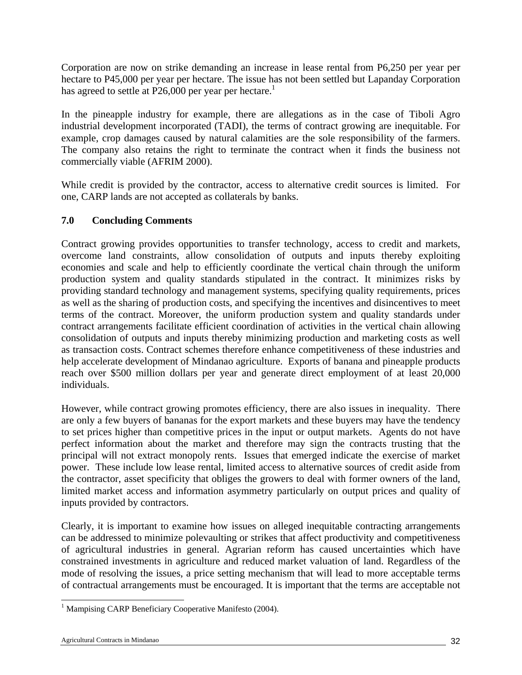Corporation are now on strike demanding an increase in lease rental from P6,250 per year per hectare to P45,000 per year per hectare. The issue has not been settled but Lapanday Corporation has agreed to settle at P26,000 per year per hectare.<sup>1</sup>

In the pineapple industry for example, there are allegations as in the case of Tiboli Agro industrial development incorporated (TADI), the terms of contract growing are inequitable. For example, crop damages caused by natural calamities are the sole responsibility of the farmers. The company also retains the right to terminate the contract when it finds the business not commercially viable (AFRIM 2000).

While credit is provided by the contractor, access to alternative credit sources is limited. For one, CARP lands are not accepted as collaterals by banks.

### **7.0 Concluding Comments**

Contract growing provides opportunities to transfer technology, access to credit and markets, overcome land constraints, allow consolidation of outputs and inputs thereby exploiting economies and scale and help to efficiently coordinate the vertical chain through the uniform production system and quality standards stipulated in the contract. It minimizes risks by providing standard technology and management systems, specifying quality requirements, prices as well as the sharing of production costs, and specifying the incentives and disincentives to meet terms of the contract. Moreover, the uniform production system and quality standards under contract arrangements facilitate efficient coordination of activities in the vertical chain allowing consolidation of outputs and inputs thereby minimizing production and marketing costs as well as transaction costs. Contract schemes therefore enhance competitiveness of these industries and help accelerate development of Mindanao agriculture. Exports of banana and pineapple products reach over \$500 million dollars per year and generate direct employment of at least 20,000 individuals.

However, while contract growing promotes efficiency, there are also issues in inequality. There are only a few buyers of bananas for the export markets and these buyers may have the tendency to set prices higher than competitive prices in the input or output markets. Agents do not have perfect information about the market and therefore may sign the contracts trusting that the principal will not extract monopoly rents. Issues that emerged indicate the exercise of market power. These include low lease rental, limited access to alternative sources of credit aside from the contractor, asset specificity that obliges the growers to deal with former owners of the land, limited market access and information asymmetry particularly on output prices and quality of inputs provided by contractors.

Clearly, it is important to examine how issues on alleged inequitable contracting arrangements can be addressed to minimize polevaulting or strikes that affect productivity and competitiveness of agricultural industries in general. Agrarian reform has caused uncertainties which have constrained investments in agriculture and reduced market valuation of land. Regardless of the mode of resolving the issues, a price setting mechanism that will lead to more acceptable terms of contractual arrangements must be encouraged. It is important that the terms are acceptable not

l <sup>1</sup> Mampising CARP Beneficiary Cooperative Manifesto (2004).